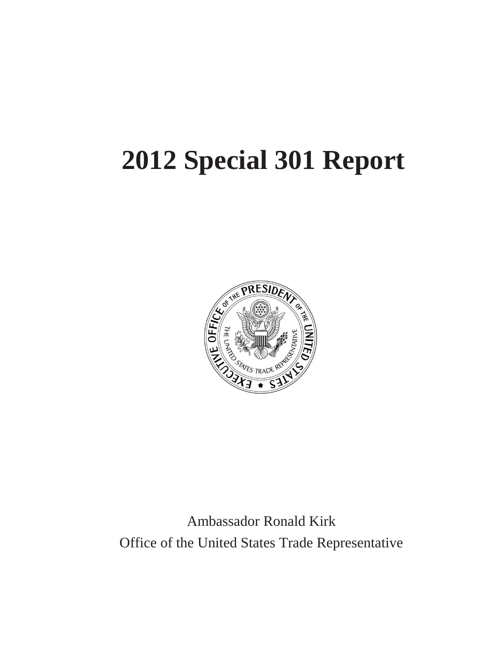# **2012 Special 301 Report**



Ambassador Ronald Kirk Office of the United States Trade Representative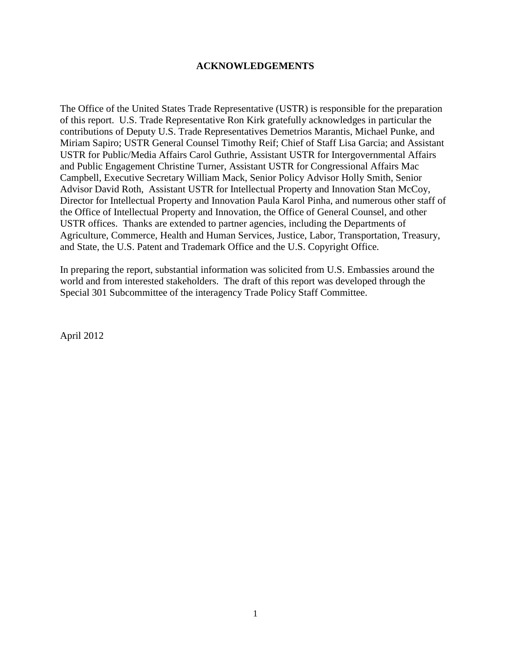## **ACKNOWLEDGEMENTS**

The Office of the United States Trade Representative (USTR) is responsible for the preparation of this report. U.S. Trade Representative Ron Kirk gratefully acknowledges in particular the contributions of Deputy U.S. Trade Representatives Demetrios Marantis, Michael Punke, and Miriam Sapiro; USTR General Counsel Timothy Reif; Chief of Staff Lisa Garcia; and Assistant USTR for Public/Media Affairs Carol Guthrie, Assistant USTR for Intergovernmental Affairs and Public Engagement Christine Turner, Assistant USTR for Congressional Affairs Mac Campbell, Executive Secretary William Mack, Senior Policy Advisor Holly Smith, Senior Advisor David Roth, Assistant USTR for Intellectual Property and Innovation Stan McCoy, Director for Intellectual Property and Innovation Paula Karol Pinha, and numerous other staff of the Office of Intellectual Property and Innovation, the Office of General Counsel, and other USTR offices. Thanks are extended to partner agencies, including the Departments of Agriculture, Commerce, Health and Human Services, Justice, Labor, Transportation, Treasury, and State, the U.S. Patent and Trademark Office and the U.S. Copyright Office.

In preparing the report, substantial information was solicited from U.S. Embassies around the world and from interested stakeholders. The draft of this report was developed through the Special 301 Subcommittee of the interagency Trade Policy Staff Committee.

April 2012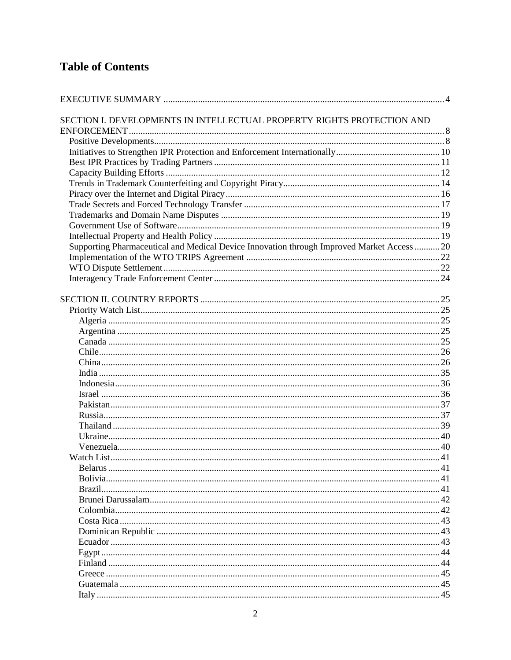# **Table of Contents**

| SECTION I. DEVELOPMENTS IN INTELLECTUAL PROPERTY RIGHTS PROTECTION AND                     |  |
|--------------------------------------------------------------------------------------------|--|
|                                                                                            |  |
|                                                                                            |  |
|                                                                                            |  |
|                                                                                            |  |
|                                                                                            |  |
|                                                                                            |  |
|                                                                                            |  |
|                                                                                            |  |
|                                                                                            |  |
|                                                                                            |  |
|                                                                                            |  |
| Supporting Pharmaceutical and Medical Device Innovation through Improved Market Access  20 |  |
|                                                                                            |  |
|                                                                                            |  |
|                                                                                            |  |
|                                                                                            |  |
|                                                                                            |  |
|                                                                                            |  |
|                                                                                            |  |
|                                                                                            |  |
|                                                                                            |  |
|                                                                                            |  |
|                                                                                            |  |
|                                                                                            |  |
|                                                                                            |  |
|                                                                                            |  |
|                                                                                            |  |
|                                                                                            |  |
|                                                                                            |  |
|                                                                                            |  |
|                                                                                            |  |
|                                                                                            |  |
| Relarus                                                                                    |  |
|                                                                                            |  |
|                                                                                            |  |
|                                                                                            |  |
|                                                                                            |  |
|                                                                                            |  |
|                                                                                            |  |
|                                                                                            |  |
|                                                                                            |  |
|                                                                                            |  |
|                                                                                            |  |
|                                                                                            |  |
|                                                                                            |  |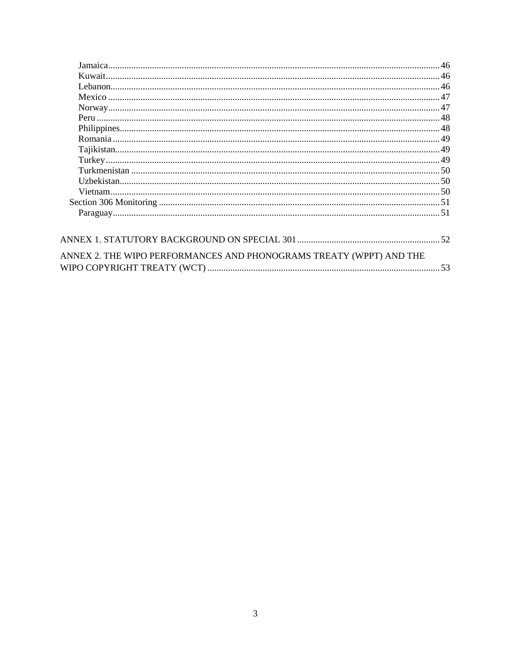| ANNEX 2. THE WIPO PERFORMANCES AND PHONOGRAMS TREATY (WPPT) AND THE |     |
|---------------------------------------------------------------------|-----|
|                                                                     | .53 |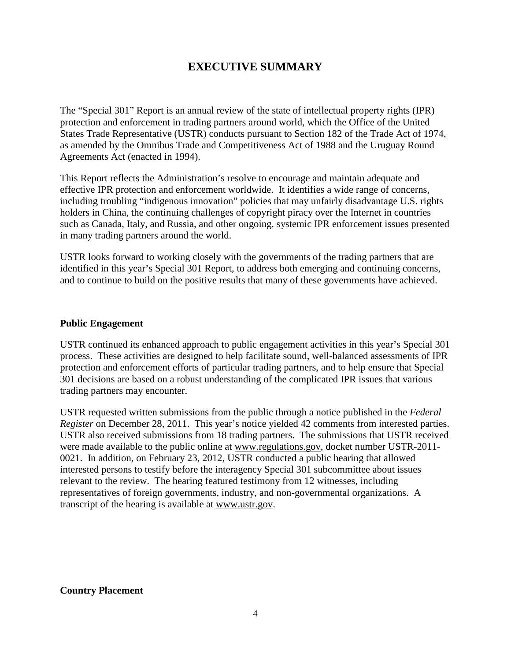# **EXECUTIVE SUMMARY**

<span id="page-4-0"></span>The "Special 301" Report is an annual review of the state of intellectual property rights (IPR) protection and enforcement in trading partners around world, which the Office of the United States Trade Representative (USTR) conducts pursuant to Section 182 of the Trade Act of 1974, as amended by the Omnibus Trade and Competitiveness Act of 1988 and the Uruguay Round Agreements Act (enacted in 1994).

This Report reflects the Administration's resolve to encourage and maintain adequate and effective IPR protection and enforcement worldwide. It identifies a wide range of concerns, including troubling "indigenous innovation" policies that may unfairly disadvantage U.S. rights holders in China, the continuing challenges of copyright piracy over the Internet in countries such as Canada, Italy, and Russia, and other ongoing, systemic IPR enforcement issues presented in many trading partners around the world.

USTR looks forward to working closely with the governments of the trading partners that are identified in this year's Special 301 Report, to address both emerging and continuing concerns, and to continue to build on the positive results that many of these governments have achieved.

## **Public Engagement**

USTR continued its enhanced approach to public engagement activities in this year's Special 301 process. These activities are designed to help facilitate sound, well-balanced assessments of IPR protection and enforcement efforts of particular trading partners, and to help ensure that Special 301 decisions are based on a robust understanding of the complicated IPR issues that various trading partners may encounter.

USTR requested written submissions from the public through a notice published in the *Federal Register* on December 28, 2011. This year's notice yielded 42 comments from interested parties. USTR also received submissions from 18 trading partners. The submissions that USTR received were made available to the public online at [www.regulations.gov,](http://www.regulations.gov/) docket number USTR-2011- 0021. In addition, on February 23, 2012, USTR conducted a public hearing that allowed interested persons to testify before the interagency Special 301 subcommittee about issues relevant to the review. The hearing featured testimony from 12 witnesses, including representatives of foreign governments, industry, and non-governmental organizations. A transcript of the hearing is available at [www.ustr.gov.](http://www.ustr.gov/)

# **Country Placement**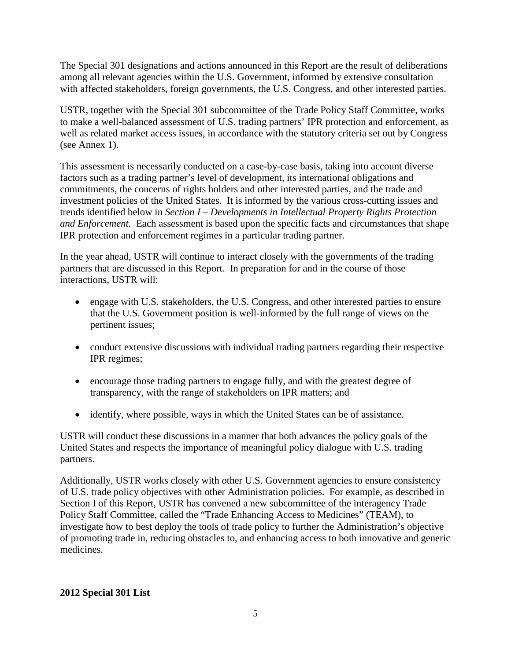The Special 301 designations and actions announced in this Report are the result of deliberations among all relevant agencies within the U.S. Government, informed by extensive consultation with affected stakeholders, foreign governments, the U.S. Congress, and other interested parties.

USTR, together with the Special 301 subcommittee of the Trade Policy Staff Committee, works to make a well-balanced assessment of U.S. trading partners' IPR protection and enforcement, as well as related market access issues, in accordance with the statutory criteria set out by Congress (see Annex 1).

This assessment is necessarily conducted on a case-by-case basis, taking into account diverse factors such as a trading partner's level of development, its international obligations and commitments, the concerns of rights holders and other interested parties, and the trade and investment policies of the United States. It is informed by the various cross-cutting issues and trends identified below in *Section I – Developments in Intellectual Property Rights Protection and Enforcement.* Each assessment is based upon the specific facts and circumstances that shape IPR protection and enforcement regimes in a particular trading partner.

In the year ahead, USTR will continue to interact closely with the governments of the trading partners that are discussed in this Report. In preparation for and in the course of those interactions, USTR will:

- engage with U.S. stakeholders, the U.S. Congress, and other interested parties to ensure that the U.S. Government position is well-informed by the full range of views on the pertinent issues;
- conduct extensive discussions with individual trading partners regarding their respective IPR regimes;
- encourage those trading partners to engage fully, and with the greatest degree of transparency, with the range of stakeholders on IPR matters; and
- identify, where possible, ways in which the United States can be of assistance.

USTR will conduct these discussions in a manner that both advances the policy goals of the United States and respects the importance of meaningful policy dialogue with U.S. trading partners.

Additionally, USTR works closely with other U.S. Government agencies to ensure consistency of U.S. trade policy objectives with other Administration policies. For example, as described in Section I of this Report, USTR has convened a new subcommittee of the interagency Trade Policy Staff Committee, called the "Trade Enhancing Access to Medicines" (TEAM), to investigate how to best deploy the tools of trade policy to further the Administration's objective of promoting trade in, reducing obstacles to, and enhancing access to both innovative and generic medicines.

# **2012 Special 301 List**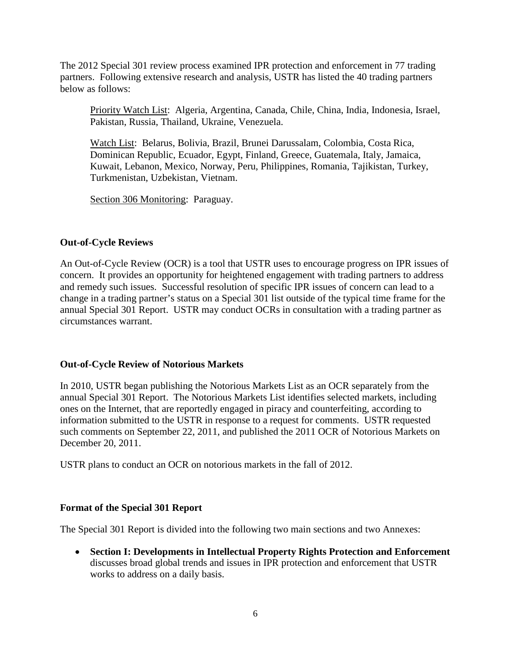The 2012 Special 301 review process examined IPR protection and enforcement in 77 trading partners. Following extensive research and analysis, USTR has listed the 40 trading partners below as follows:

Priority Watch List: Algeria, Argentina, Canada, Chile, China, India, Indonesia, Israel, Pakistan, Russia, Thailand, Ukraine, Venezuela.

Watch List:Belarus, Bolivia, Brazil, Brunei Darussalam, Colombia, Costa Rica, Dominican Republic, Ecuador, Egypt, Finland, Greece, Guatemala, Italy, Jamaica, Kuwait, Lebanon, Mexico, Norway, Peru, Philippines, Romania, Tajikistan, Turkey, Turkmenistan, Uzbekistan, Vietnam.

Section 306 Monitoring:Paraguay.

# **Out-of-Cycle Reviews**

An Out-of-Cycle Review (OCR) is a tool that USTR uses to encourage progress on IPR issues of concern. It provides an opportunity for heightened engagement with trading partners to address and remedy such issues. Successful resolution of specific IPR issues of concern can lead to a change in a trading partner's status on a Special 301 list outside of the typical time frame for the annual Special 301 Report. USTR may conduct OCRs in consultation with a trading partner as circumstances warrant.

# **Out-of-Cycle Review of Notorious Markets**

In 2010, USTR began publishing the Notorious Markets List as an OCR separately from the annual Special 301 Report. The Notorious Markets List identifies selected markets, including ones on the Internet, that are reportedly engaged in piracy and counterfeiting, according to information submitted to the USTR in response to a request for comments. USTR requested such comments on September 22, 2011, and published the 2011 OCR of Notorious Markets on December 20, 2011.

USTR plans to conduct an OCR on notorious markets in the fall of 2012.

# **Format of the Special 301 Report**

The Special 301 Report is divided into the following two main sections and two Annexes:

• **Section I: Developments in Intellectual Property Rights Protection and Enforcement** discusses broad global trends and issues in IPR protection and enforcement that USTR works to address on a daily basis.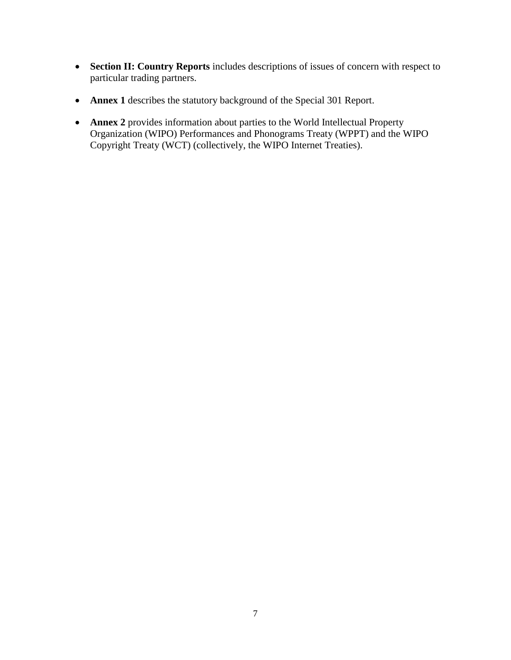- **Section II: Country Reports** includes descriptions of issues of concern with respect to particular trading partners.
- **Annex 1** describes the statutory background of the Special 301 Report.
- **Annex 2** provides information about parties to the World Intellectual Property Organization (WIPO) Performances and Phonograms Treaty (WPPT) and the WIPO Copyright Treaty (WCT) (collectively, the WIPO Internet Treaties).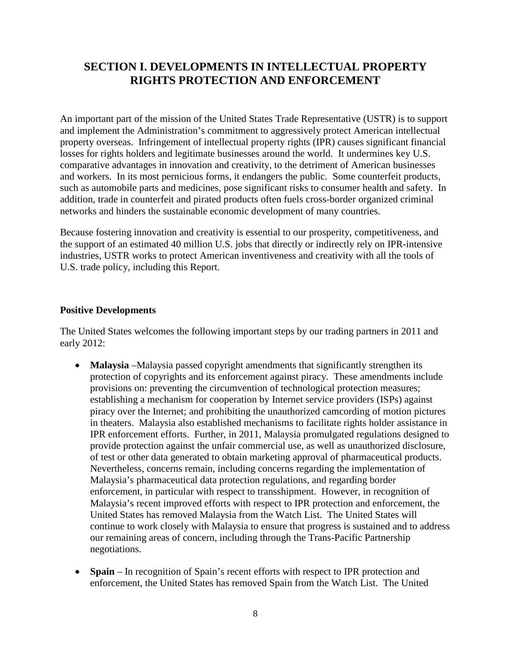# <span id="page-8-0"></span>**SECTION I. DEVELOPMENTS IN INTELLECTUAL PROPERTY RIGHTS PROTECTION AND ENFORCEMENT**

An important part of the mission of the United States Trade Representative (USTR) is to support and implement the Administration's commitment to aggressively protect American intellectual property overseas. Infringement of intellectual property rights (IPR) causes significant financial losses for rights holders and legitimate businesses around the world. It undermines key U.S. comparative advantages in innovation and creativity, to the detriment of American businesses and workers. In its most pernicious forms, it endangers the public. Some counterfeit products, such as automobile parts and medicines, pose significant risks to consumer health and safety. In addition, trade in counterfeit and pirated products often fuels cross-border organized criminal networks and hinders the sustainable economic development of many countries.

Because fostering innovation and creativity is essential to our prosperity, competitiveness, and the support of an estimated 40 million U.S. jobs that directly or indirectly rely on IPR-intensive industries, USTR works to protect American inventiveness and creativity with all the tools of U.S. trade policy, including this Report.

## <span id="page-8-1"></span>**Positive Developments**

The United States welcomes the following important steps by our trading partners in 2011 and early 2012:

- **Malaysia** –Malaysia passed copyright amendments that significantly strengthen its protection of copyrights and its enforcement against piracy. These amendments include provisions on: preventing the circumvention of technological protection measures; establishing a mechanism for cooperation by Internet service providers (ISPs) against piracy over the Internet; and prohibiting the unauthorized camcording of motion pictures in theaters. Malaysia also established mechanisms to facilitate rights holder assistance in IPR enforcement efforts. Further, in 2011, Malaysia promulgated regulations designed to provide protection against the unfair commercial use, as well as unauthorized disclosure, of test or other data generated to obtain marketing approval of pharmaceutical products. Nevertheless, concerns remain, including concerns regarding the implementation of Malaysia's pharmaceutical data protection regulations, and regarding border enforcement, in particular with respect to transshipment. However, in recognition of Malaysia's recent improved efforts with respect to IPR protection and enforcement, the United States has removed Malaysia from the Watch List. The United States will continue to work closely with Malaysia to ensure that progress is sustained and to address our remaining areas of concern, including through the Trans-Pacific Partnership negotiations.
- **Spain** In recognition of Spain's recent efforts with respect to IPR protection and enforcement, the United States has removed Spain from the Watch List. The United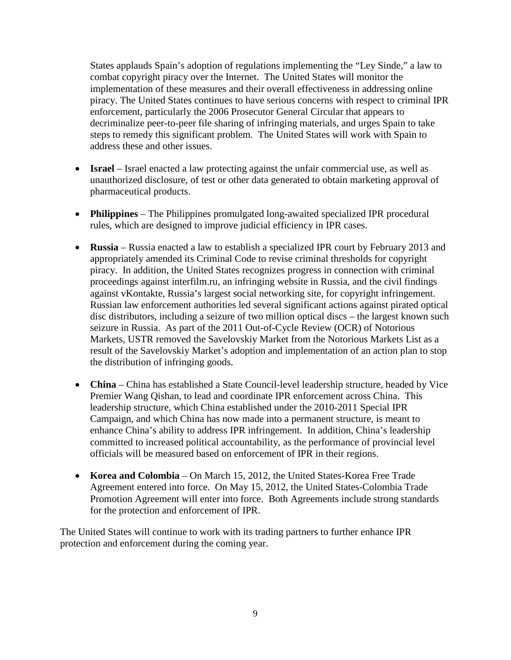States applauds Spain's adoption of regulations implementing the "Ley Sinde," a law to combat copyright piracy over the Internet. The United States will monitor the implementation of these measures and their overall effectiveness in addressing online piracy. The United States continues to have serious concerns with respect to criminal IPR enforcement, particularly the 2006 Prosecutor General Circular that appears to decriminalize peer-to-peer file sharing of infringing materials, and urges Spain to take steps to remedy this significant problem. The United States will work with Spain to address these and other issues.

- **Israel** Israel enacted a law protecting against the unfair commercial use, as well as unauthorized disclosure, of test or other data generated to obtain marketing approval of pharmaceutical products.
- **Philippines** The Philippines promulgated long-awaited specialized IPR procedural rules, which are designed to improve judicial efficiency in IPR cases.
- **Russia**  Russia enacted a law to establish a specialized IPR court by February 2013 and appropriately amended its Criminal Code to revise criminal thresholds for copyright piracy. In addition, the United States recognizes progress in connection with criminal proceedings against interfilm.ru, an infringing website in Russia, and the civil findings against vKontakte, Russia's largest social networking site, for copyright infringement. Russian law enforcement authorities led several significant actions against pirated optical disc distributors, including a seizure of two million optical discs – the largest known such seizure in Russia. As part of the 2011 Out-of-Cycle Review (OCR) of Notorious Markets, USTR removed the Savelovskiy Market from the Notorious Markets List as a result of the Savelovskiy Market's adoption and implementation of an action plan to stop the distribution of infringing goods.
- **China**  China has established a State Council-level leadership structure, headed by Vice Premier Wang Qishan, to lead and coordinate IPR enforcement across China. This leadership structure, which China established under the 2010-2011 Special IPR Campaign, and which China has now made into a permanent structure, is meant to enhance China's ability to address IPR infringement. In addition, China's leadership committed to increased political accountability, as the performance of provincial level officials will be measured based on enforcement of IPR in their regions.
- **Korea and Colombia**  On March 15, 2012, the United States-Korea Free Trade Agreement entered into force. On May 15, 2012, the United States-Colombia Trade Promotion Agreement will enter into force. Both Agreements include strong standards for the protection and enforcement of IPR.

The United States will continue to work with its trading partners to further enhance IPR protection and enforcement during the coming year.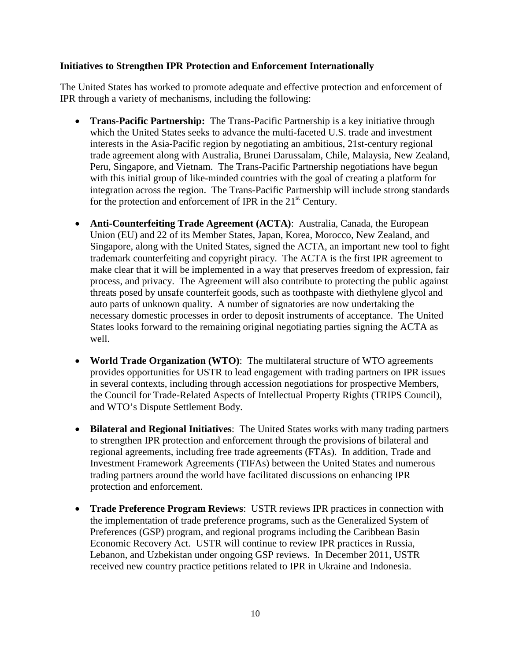# <span id="page-10-0"></span>**Initiatives to Strengthen IPR Protection and Enforcement Internationally**

The United States has worked to promote adequate and effective protection and enforcement of IPR through a variety of mechanisms, including the following:

- **Trans-Pacific Partnership:** The Trans-Pacific Partnership is a key initiative through which the United States seeks to advance the multi-faceted U.S. trade and investment interests in the Asia-Pacific region by negotiating an ambitious, 21st-century regional trade agreement along with Australia, Brunei Darussalam, Chile, Malaysia, New Zealand, Peru, Singapore, and Vietnam. The Trans-Pacific Partnership negotiations have begun with this initial group of like-minded countries with the goal of creating a platform for integration across the region. The Trans-Pacific Partnership will include strong standards for the protection and enforcement of IPR in the  $21<sup>st</sup>$  Century.
- **Anti-Counterfeiting Trade Agreement (ACTA)**: Australia, Canada, the European Union (EU) and 22 of its Member States, Japan, Korea, Morocco, New Zealand, and Singapore, along with the United States, signed the ACTA, an important new tool to fight trademark counterfeiting and copyright piracy. The ACTA is the first IPR agreement to make clear that it will be implemented in a way that preserves freedom of expression, fair process, and privacy. The Agreement will also contribute to protecting the public against threats posed by unsafe counterfeit goods, such as toothpaste with diethylene glycol and auto parts of unknown quality. A number of signatories are now undertaking the necessary domestic processes in order to deposit instruments of acceptance. The United States looks forward to the remaining original negotiating parties signing the ACTA as well.
- **World Trade Organization (WTO)**: The multilateral structure of WTO agreements provides opportunities for USTR to lead engagement with trading partners on IPR issues in several contexts, including through accession negotiations for prospective Members, the Council for Trade-Related Aspects of Intellectual Property Rights (TRIPS Council), and WTO's Dispute Settlement Body.
- **Bilateral and Regional Initiatives**: The United States works with many trading partners to strengthen IPR protection and enforcement through the provisions of bilateral and regional agreements, including free trade agreements (FTAs). In addition, Trade and Investment Framework Agreements (TIFAs) between the United States and numerous trading partners around the world have facilitated discussions on enhancing IPR protection and enforcement.
- **Trade Preference Program Reviews**: USTR reviews IPR practices in connection with the implementation of trade preference programs, such as the Generalized System of Preferences (GSP) program, and regional programs including the Caribbean Basin Economic Recovery Act. USTR will continue to review IPR practices in Russia, Lebanon, and Uzbekistan under ongoing GSP reviews. In December 2011, USTR received new country practice petitions related to IPR in Ukraine and Indonesia.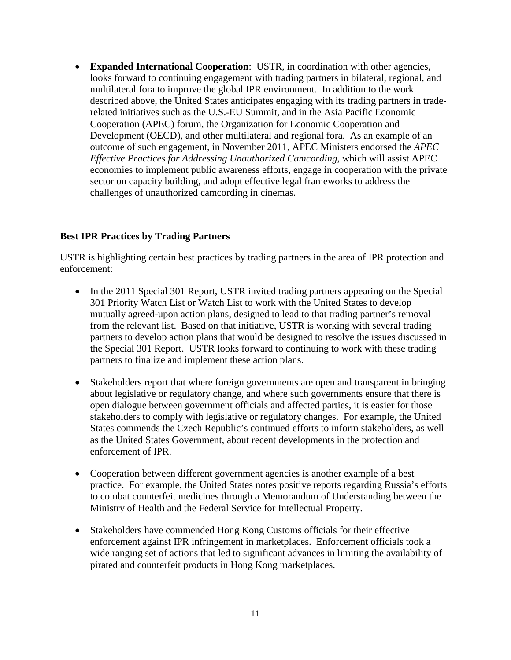• **Expanded International Cooperation**: USTR, in coordination with other agencies, looks forward to continuing engagement with trading partners in bilateral, regional, and multilateral fora to improve the global IPR environment. In addition to the work described above, the United States anticipates engaging with its trading partners in traderelated initiatives such as the U.S.-EU Summit, and in the Asia Pacific Economic Cooperation (APEC) forum, the Organization for Economic Cooperation and Development (OECD), and other multilateral and regional fora. As an example of an outcome of such engagement, in November 2011, APEC Ministers endorsed the *APEC Effective Practices for Addressing Unauthorized Camcording*, which will assist APEC economies to implement public awareness efforts, engage in cooperation with the private sector on capacity building, and adopt effective legal frameworks to address the challenges of unauthorized camcording in cinemas.

# <span id="page-11-0"></span>**Best IPR Practices by Trading Partners**

USTR is highlighting certain best practices by trading partners in the area of IPR protection and enforcement:

- In the 2011 Special 301 Report, USTR invited trading partners appearing on the Special 301 Priority Watch List or Watch List to work with the United States to develop mutually agreed-upon action plans, designed to lead to that trading partner's removal from the relevant list. Based on that initiative, USTR is working with several trading partners to develop action plans that would be designed to resolve the issues discussed in the Special 301 Report. USTR looks forward to continuing to work with these trading partners to finalize and implement these action plans.
- Stakeholders report that where foreign governments are open and transparent in bringing about legislative or regulatory change, and where such governments ensure that there is open dialogue between government officials and affected parties, it is easier for those stakeholders to comply with legislative or regulatory changes. For example, the United States commends the Czech Republic's continued efforts to inform stakeholders, as well as the United States Government, about recent developments in the protection and enforcement of IPR.
- Cooperation between different government agencies is another example of a best practice. For example, the United States notes positive reports regarding Russia's efforts to combat counterfeit medicines through a Memorandum of Understanding between the Ministry of Health and the Federal Service for Intellectual Property.
- Stakeholders have commended Hong Kong Customs officials for their effective enforcement against IPR infringement in marketplaces. Enforcement officials took a wide ranging set of actions that led to significant advances in limiting the availability of pirated and counterfeit products in Hong Kong marketplaces.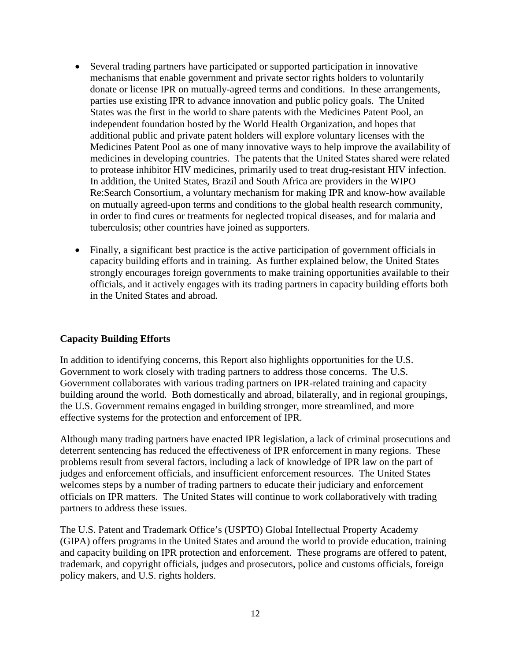- Several trading partners have participated or supported participation in innovative mechanisms that enable government and private sector rights holders to voluntarily donate or license IPR on mutually-agreed terms and conditions. In these arrangements, parties use existing IPR to advance innovation and public policy goals. The United States was the first in the world to share patents with the Medicines Patent Pool, an independent foundation hosted by the World Health Organization, and hopes that additional public and private patent holders will explore voluntary licenses with the Medicines Patent Pool as one of many innovative ways to help improve the availability of medicines in developing countries. The patents that the United States shared were related to protease inhibitor HIV medicines, primarily used to treat drug-resistant HIV infection. In addition, the United States, Brazil and South Africa are providers in the WIPO Re:Search Consortium, a voluntary mechanism for making IPR and know-how available on mutually agreed-upon terms and conditions to the global health research community, in order to find cures or treatments for neglected tropical diseases, and for malaria and tuberculosis; other countries have joined as supporters.
- Finally, a significant best practice is the active participation of government officials in capacity building efforts and in training. As further explained below, the United States strongly encourages foreign governments to make training opportunities available to their officials, and it actively engages with its trading partners in capacity building efforts both in the United States and abroad.

# <span id="page-12-0"></span>**Capacity Building Efforts**

In addition to identifying concerns, this Report also highlights opportunities for the U.S. Government to work closely with trading partners to address those concerns. The U.S. Government collaborates with various trading partners on IPR-related training and capacity building around the world. Both domestically and abroad, bilaterally, and in regional groupings, the U.S. Government remains engaged in building stronger, more streamlined, and more effective systems for the protection and enforcement of IPR.

Although many trading partners have enacted IPR legislation, a lack of criminal prosecutions and deterrent sentencing has reduced the effectiveness of IPR enforcement in many regions. These problems result from several factors, including a lack of knowledge of IPR law on the part of judges and enforcement officials, and insufficient enforcement resources. The United States welcomes steps by a number of trading partners to educate their judiciary and enforcement officials on IPR matters. The United States will continue to work collaboratively with trading partners to address these issues.

The U.S. Patent and Trademark Office's (USPTO) Global Intellectual Property Academy (GIPA) offers programs in the United States and around the world to provide education, training and capacity building on IPR protection and enforcement. These programs are offered to patent, trademark, and copyright officials, judges and prosecutors, police and customs officials, foreign policy makers, and U.S. rights holders.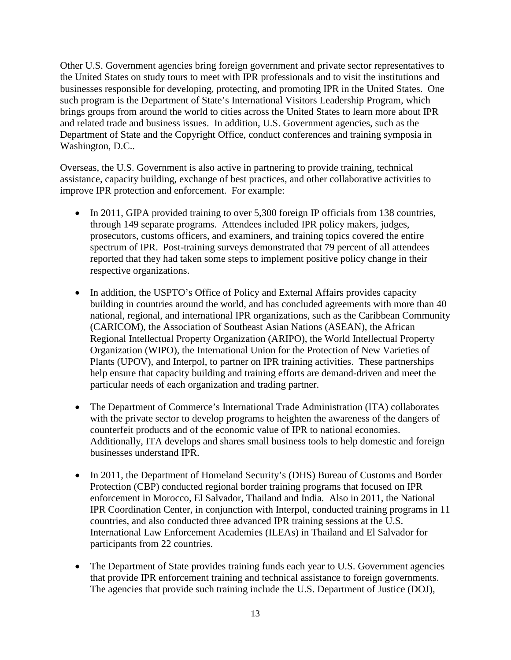Other U.S. Government agencies bring foreign government and private sector representatives to the United States on study tours to meet with IPR professionals and to visit the institutions and businesses responsible for developing, protecting, and promoting IPR in the United States. One such program is the Department of State's International Visitors Leadership Program, which brings groups from around the world to cities across the United States to learn more about IPR and related trade and business issues. In addition, U.S. Government agencies, such as the Department of State and the Copyright Office, conduct conferences and training symposia in Washington, D.C..

Overseas, the U.S. Government is also active in partnering to provide training, technical assistance, capacity building, exchange of best practices, and other collaborative activities to improve IPR protection and enforcement. For example:

- In 2011, GIPA provided training to over 5,300 foreign IP officials from 138 countries, through 149 separate programs. Attendees included IPR policy makers, judges, prosecutors, customs officers, and examiners, and training topics covered the entire spectrum of IPR. Post-training surveys demonstrated that 79 percent of all attendees reported that they had taken some steps to implement positive policy change in their respective organizations.
- In addition, the USPTO's Office of Policy and External Affairs provides capacity building in countries around the world, and has concluded agreements with more than 40 national, regional, and international IPR organizations, such as the Caribbean Community (CARICOM), the Association of Southeast Asian Nations (ASEAN), the African Regional Intellectual Property Organization (ARIPO), the World Intellectual Property Organization (WIPO), the International Union for the Protection of New Varieties of Plants (UPOV), and Interpol, to partner on IPR training activities. These partnerships help ensure that capacity building and training efforts are demand-driven and meet the particular needs of each organization and trading partner.
- The Department of Commerce's International Trade Administration (ITA) collaborates with the private sector to develop programs to heighten the awareness of the dangers of counterfeit products and of the economic value of IPR to national economies. Additionally, ITA develops and shares small business tools to help domestic and foreign businesses understand IPR.
- In 2011, the Department of Homeland Security's (DHS) Bureau of Customs and Border Protection (CBP) conducted regional border training programs that focused on IPR enforcement in Morocco, El Salvador, Thailand and India. Also in 2011, the National IPR Coordination Center, in conjunction with Interpol, conducted training programs in 11 countries, and also conducted three advanced IPR training sessions at the U.S. International Law Enforcement Academies (ILEAs) in Thailand and El Salvador for participants from 22 countries.
- The Department of State provides training funds each year to U.S. Government agencies that provide IPR enforcement training and technical assistance to foreign governments. The agencies that provide such training include the U.S. Department of Justice (DOJ),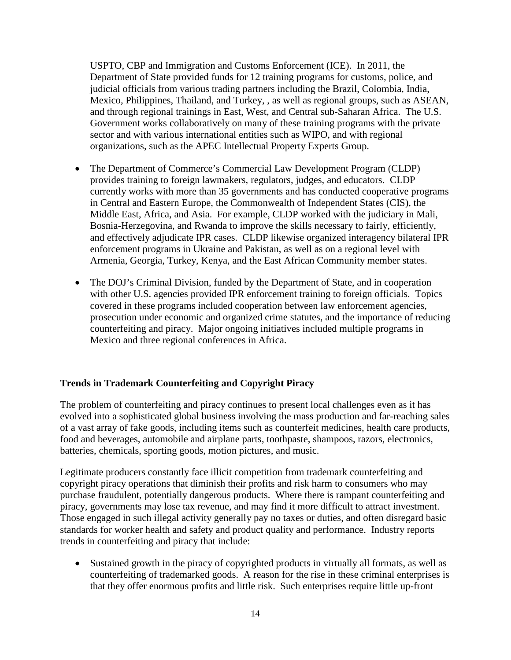USPTO, CBP and Immigration and Customs Enforcement (ICE). In 2011, the Department of State provided funds for 12 training programs for customs, police, and judicial officials from various trading partners including the Brazil, Colombia, India, Mexico, Philippines, Thailand, and Turkey, , as well as regional groups, such as ASEAN, and through regional trainings in East, West, and Central sub-Saharan Africa. The U.S. Government works collaboratively on many of these training programs with the private sector and with various international entities such as WIPO, and with regional organizations, such as the APEC Intellectual Property Experts Group.

- The Department of Commerce's Commercial Law Development Program (CLDP) provides training to foreign lawmakers, regulators, judges, and educators. CLDP currently works with more than 35 governments and has conducted cooperative programs in Central and Eastern Europe, the Commonwealth of Independent States (CIS), the Middle East, Africa, and Asia. For example, CLDP worked with the judiciary in Mali, Bosnia-Herzegovina, and Rwanda to improve the skills necessary to fairly, efficiently, and effectively adjudicate IPR cases. CLDP likewise organized interagency bilateral IPR enforcement programs in Ukraine and Pakistan, as well as on a regional level with Armenia, Georgia, Turkey, Kenya, and the East African Community member states.
- The DOJ's Criminal Division, funded by the Department of State, and in cooperation with other U.S. agencies provided IPR enforcement training to foreign officials. Topics covered in these programs included cooperation between law enforcement agencies, prosecution under economic and organized crime statutes, and the importance of reducing counterfeiting and piracy. Major ongoing initiatives included multiple programs in Mexico and three regional conferences in Africa.

# <span id="page-14-0"></span>**Trends in Trademark Counterfeiting and Copyright Piracy**

The problem of counterfeiting and piracy continues to present local challenges even as it has evolved into a sophisticated global business involving the mass production and far-reaching sales of a vast array of fake goods, including items such as counterfeit medicines, health care products, food and beverages, automobile and airplane parts, toothpaste, shampoos, razors, electronics, batteries, chemicals, sporting goods, motion pictures, and music.

Legitimate producers constantly face illicit competition from trademark counterfeiting and copyright piracy operations that diminish their profits and risk harm to consumers who may purchase fraudulent, potentially dangerous products. Where there is rampant counterfeiting and piracy, governments may lose tax revenue, and may find it more difficult to attract investment. Those engaged in such illegal activity generally pay no taxes or duties, and often disregard basic standards for worker health and safety and product quality and performance. Industry reports trends in counterfeiting and piracy that include:

• Sustained growth in the piracy of copyrighted products in virtually all formats, as well as counterfeiting of trademarked goods. A reason for the rise in these criminal enterprises is that they offer enormous profits and little risk. Such enterprises require little up-front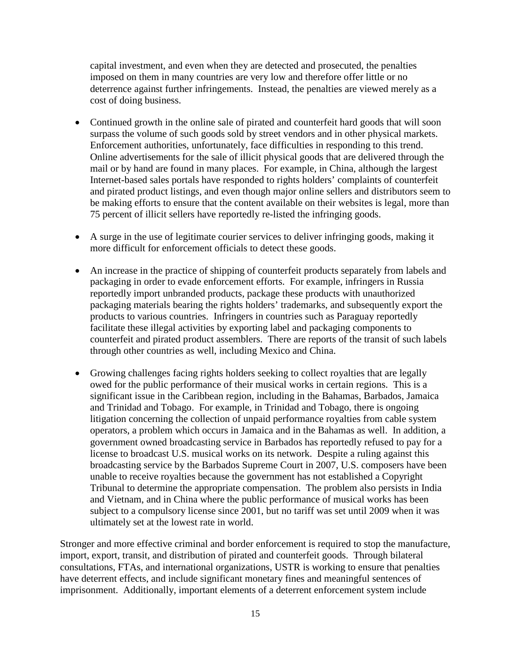capital investment, and even when they are detected and prosecuted, the penalties imposed on them in many countries are very low and therefore offer little or no deterrence against further infringements. Instead, the penalties are viewed merely as a cost of doing business.

- Continued growth in the online sale of pirated and counterfeit hard goods that will soon surpass the volume of such goods sold by street vendors and in other physical markets. Enforcement authorities, unfortunately, face difficulties in responding to this trend. Online advertisements for the sale of illicit physical goods that are delivered through the mail or by hand are found in many places. For example, in China, although the largest Internet-based sales portals have responded to rights holders' complaints of counterfeit and pirated product listings, and even though major online sellers and distributors seem to be making efforts to ensure that the content available on their websites is legal, more than 75 percent of illicit sellers have reportedly re-listed the infringing goods.
- A surge in the use of legitimate courier services to deliver infringing goods, making it more difficult for enforcement officials to detect these goods.
- An increase in the practice of shipping of counterfeit products separately from labels and packaging in order to evade enforcement efforts. For example, infringers in Russia reportedly import unbranded products, package these products with unauthorized packaging materials bearing the rights holders' trademarks, and subsequently export the products to various countries. Infringers in countries such as Paraguay reportedly facilitate these illegal activities by exporting label and packaging components to counterfeit and pirated product assemblers. There are reports of the transit of such labels through other countries as well, including Mexico and China.
- Growing challenges facing rights holders seeking to collect royalties that are legally owed for the public performance of their musical works in certain regions. This is a significant issue in the Caribbean region, including in the Bahamas, Barbados, Jamaica and Trinidad and Tobago. For example, in Trinidad and Tobago, there is ongoing litigation concerning the collection of unpaid performance royalties from cable system operators, a problem which occurs in Jamaica and in the Bahamas as well. In addition, a government owned broadcasting service in Barbados has reportedly refused to pay for a license to broadcast U.S. musical works on its network. Despite a ruling against this broadcasting service by the Barbados Supreme Court in 2007, U.S. composers have been unable to receive royalties because the government has not established a Copyright Tribunal to determine the appropriate compensation. The problem also persists in India and Vietnam, and in China where the public performance of musical works has been subject to a compulsory license since 2001, but no tariff was set until 2009 when it was ultimately set at the lowest rate in world.

Stronger and more effective criminal and border enforcement is required to stop the manufacture, import, export, transit, and distribution of pirated and counterfeit goods. Through bilateral consultations, FTAs, and international organizations, USTR is working to ensure that penalties have deterrent effects, and include significant monetary fines and meaningful sentences of imprisonment. Additionally, important elements of a deterrent enforcement system include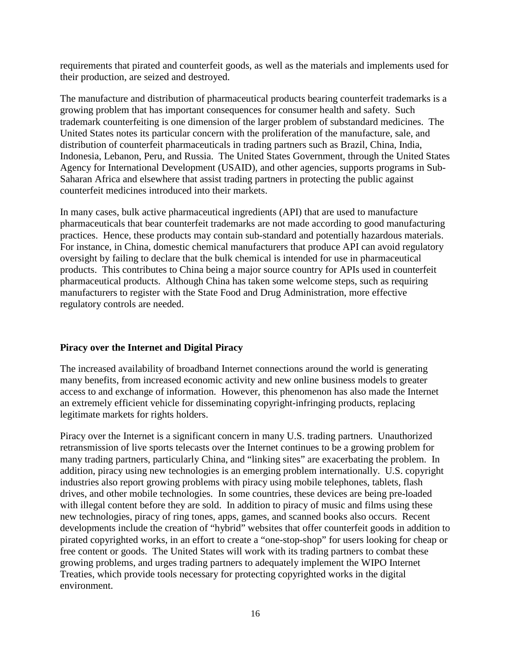requirements that pirated and counterfeit goods, as well as the materials and implements used for their production, are seized and destroyed.

The manufacture and distribution of pharmaceutical products bearing counterfeit trademarks is a growing problem that has important consequences for consumer health and safety. Such trademark counterfeiting is one dimension of the larger problem of substandard medicines. The United States notes its particular concern with the proliferation of the manufacture, sale, and distribution of counterfeit pharmaceuticals in trading partners such as Brazil, China, India, Indonesia, Lebanon, Peru, and Russia. The United States Government, through the United States Agency for International Development (USAID), and other agencies, supports programs in Sub-Saharan Africa and elsewhere that assist trading partners in protecting the public against counterfeit medicines introduced into their markets.

In many cases, bulk active pharmaceutical ingredients (API) that are used to manufacture pharmaceuticals that bear counterfeit trademarks are not made according to good manufacturing practices. Hence, these products may contain sub-standard and potentially hazardous materials. For instance, in China, domestic chemical manufacturers that produce API can avoid regulatory oversight by failing to declare that the bulk chemical is intended for use in pharmaceutical products. This contributes to China being a major source country for APIs used in counterfeit pharmaceutical products. Although China has taken some welcome steps, such as requiring manufacturers to register with the State Food and Drug Administration, more effective regulatory controls are needed.

# <span id="page-16-0"></span>**Piracy over the Internet and Digital Piracy**

The increased availability of broadband Internet connections around the world is generating many benefits, from increased economic activity and new online business models to greater access to and exchange of information. However, this phenomenon has also made the Internet an extremely efficient vehicle for disseminating copyright-infringing products, replacing legitimate markets for rights holders.

Piracy over the Internet is a significant concern in many U.S. trading partners. Unauthorized retransmission of live sports telecasts over the Internet continues to be a growing problem for many trading partners, particularly China, and "linking sites" are exacerbating the problem. In addition, piracy using new technologies is an emerging problem internationally. U.S. copyright industries also report growing problems with piracy using mobile telephones, tablets, flash drives, and other mobile technologies. In some countries, these devices are being pre-loaded with illegal content before they are sold. In addition to piracy of music and films using these new technologies, piracy of ring tones, apps, games, and scanned books also occurs. Recent developments include the creation of "hybrid" websites that offer counterfeit goods in addition to pirated copyrighted works, in an effort to create a "one-stop-shop" for users looking for cheap or free content or goods. The United States will work with its trading partners to combat these growing problems, and urges trading partners to adequately implement the WIPO Internet Treaties, which provide tools necessary for protecting copyrighted works in the digital environment.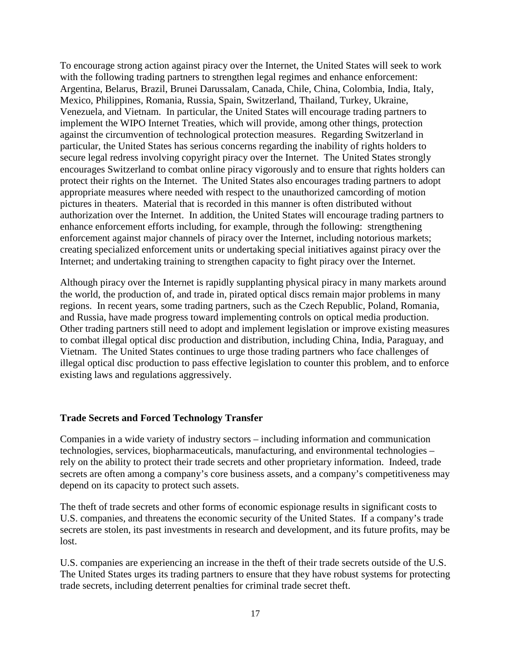To encourage strong action against piracy over the Internet, the United States will seek to work with the following trading partners to strengthen legal regimes and enhance enforcement: Argentina, Belarus, Brazil, Brunei Darussalam, Canada, Chile, China, Colombia, India, Italy, Mexico, Philippines, Romania, Russia, Spain, Switzerland, Thailand, Turkey, Ukraine, Venezuela, and Vietnam. In particular, the United States will encourage trading partners to implement the WIPO Internet Treaties, which will provide, among other things, protection against the circumvention of technological protection measures. Regarding Switzerland in particular, the United States has serious concerns regarding the inability of rights holders to secure legal redress involving copyright piracy over the Internet. The United States strongly encourages Switzerland to combat online piracy vigorously and to ensure that rights holders can protect their rights on the Internet. The United States also encourages trading partners to adopt appropriate measures where needed with respect to the unauthorized camcording of motion pictures in theaters. Material that is recorded in this manner is often distributed without authorization over the Internet. In addition, the United States will encourage trading partners to enhance enforcement efforts including, for example, through the following: strengthening enforcement against major channels of piracy over the Internet, including notorious markets; creating specialized enforcement units or undertaking special initiatives against piracy over the Internet; and undertaking training to strengthen capacity to fight piracy over the Internet.

Although piracy over the Internet is rapidly supplanting physical piracy in many markets around the world, the production of, and trade in, pirated optical discs remain major problems in many regions. In recent years, some trading partners, such as the Czech Republic, Poland, Romania, and Russia, have made progress toward implementing controls on optical media production. Other trading partners still need to adopt and implement legislation or improve existing measures to combat illegal optical disc production and distribution, including China, India, Paraguay, and Vietnam. The United States continues to urge those trading partners who face challenges of illegal optical disc production to pass effective legislation to counter this problem, and to enforce existing laws and regulations aggressively.

# <span id="page-17-0"></span>**Trade Secrets and Forced Technology Transfer**

Companies in a wide variety of industry sectors – including information and communication technologies, services, biopharmaceuticals, manufacturing, and environmental technologies – rely on the ability to protect their trade secrets and other proprietary information. Indeed, trade secrets are often among a company's core business assets, and a company's competitiveness may depend on its capacity to protect such assets.

The theft of trade secrets and other forms of economic espionage results in significant costs to U.S. companies, and threatens the economic security of the United States. If a company's trade secrets are stolen, its past investments in research and development, and its future profits, may be lost.

U.S. companies are experiencing an increase in the theft of their trade secrets outside of the U.S. The United States urges its trading partners to ensure that they have robust systems for protecting trade secrets, including deterrent penalties for criminal trade secret theft.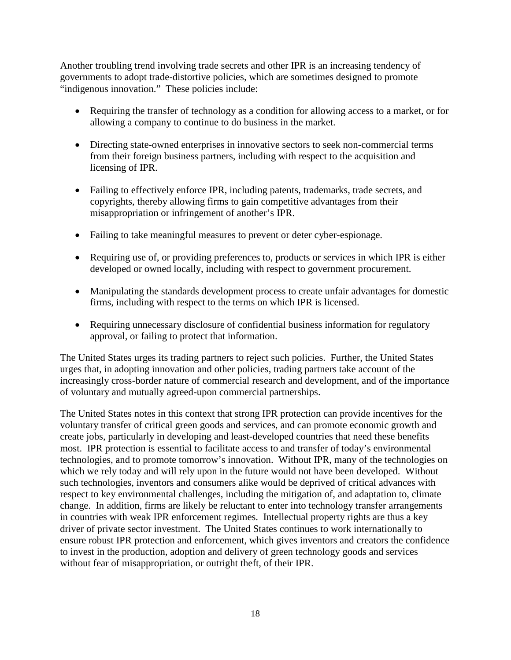Another troubling trend involving trade secrets and other IPR is an increasing tendency of governments to adopt trade-distortive policies, which are sometimes designed to promote "indigenous innovation." These policies include:

- Requiring the transfer of technology as a condition for allowing access to a market, or for allowing a company to continue to do business in the market.
- Directing state-owned enterprises in innovative sectors to seek non-commercial terms from their foreign business partners, including with respect to the acquisition and licensing of IPR.
- Failing to effectively enforce IPR, including patents, trademarks, trade secrets, and copyrights, thereby allowing firms to gain competitive advantages from their misappropriation or infringement of another's IPR.
- Failing to take meaningful measures to prevent or deter cyber-espionage.
- Requiring use of, or providing preferences to, products or services in which IPR is either developed or owned locally, including with respect to government procurement.
- Manipulating the standards development process to create unfair advantages for domestic firms, including with respect to the terms on which IPR is licensed.
- Requiring unnecessary disclosure of confidential business information for regulatory approval, or failing to protect that information.

The United States urges its trading partners to reject such policies. Further, the United States urges that, in adopting innovation and other policies, trading partners take account of the increasingly cross-border nature of commercial research and development, and of the importance of voluntary and mutually agreed-upon commercial partnerships.

The United States notes in this context that strong IPR protection can provide incentives for the voluntary transfer of critical green goods and services, and can promote economic growth and create jobs, particularly in developing and least-developed countries that need these benefits most.IPR protection is essential to facilitate access to and transfer of today's environmental technologies, and to promote tomorrow's innovation.Without IPR, many of the technologies on which we rely today and will rely upon in the future would not have been developed. Without such technologies, inventors and consumers alike would be deprived of critical advances with respect to key environmental challenges, including the mitigation of, and adaptation to, climate change. In addition, firms are likely be reluctant to enter into technology transfer arrangements in countries with weak IPR enforcement regimes.Intellectual property rights are thus a key driver of private sector investment. The United States continues to work internationally to ensure robust IPR protection and enforcement, which gives inventors and creators the confidence to invest in the production, adoption and delivery of green technology goods and services without fear of misappropriation, or outright theft, of their IPR.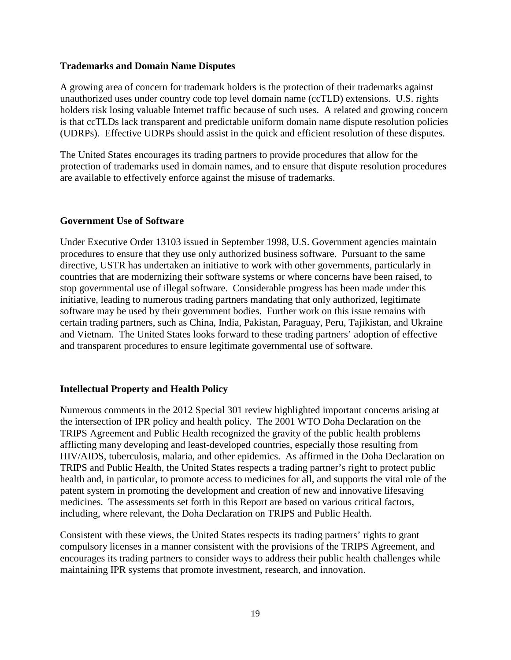## <span id="page-19-0"></span>**Trademarks and Domain Name Disputes**

A growing area of concern for trademark holders is the protection of their trademarks against unauthorized uses under country code top level domain name (ccTLD) extensions. U.S. rights holders risk losing valuable Internet traffic because of such uses. A related and growing concern is that ccTLDs lack transparent and predictable uniform domain name dispute resolution policies (UDRPs). Effective UDRPs should assist in the quick and efficient resolution of these disputes.

The United States encourages its trading partners to provide procedures that allow for the protection of trademarks used in domain names, and to ensure that dispute resolution procedures are available to effectively enforce against the misuse of trademarks.

## <span id="page-19-1"></span>**Government Use of Software**

Under Executive Order 13103 issued in September 1998, U.S. Government agencies maintain procedures to ensure that they use only authorized business software. Pursuant to the same directive, USTR has undertaken an initiative to work with other governments, particularly in countries that are modernizing their software systems or where concerns have been raised, to stop governmental use of illegal software. Considerable progress has been made under this initiative, leading to numerous trading partners mandating that only authorized, legitimate software may be used by their government bodies. Further work on this issue remains with certain trading partners, such as China, India, Pakistan, Paraguay, Peru, Tajikistan, and Ukraine and Vietnam. The United States looks forward to these trading partners' adoption of effective and transparent procedures to ensure legitimate governmental use of software.

# <span id="page-19-2"></span>**Intellectual Property and Health Policy**

Numerous comments in the 2012 Special 301 review highlighted important concerns arising at the intersection of IPR policy and health policy. The 2001 WTO Doha Declaration on the TRIPS Agreement and Public Health recognized the gravity of the public health problems afflicting many developing and least-developed countries, especially those resulting from HIV/AIDS, tuberculosis, malaria, and other epidemics. As affirmed in the Doha Declaration on TRIPS and Public Health, the United States respects a trading partner's right to protect public health and, in particular, to promote access to medicines for all, and supports the vital role of the patent system in promoting the development and creation of new and innovative lifesaving medicines. The assessments set forth in this Report are based on various critical factors, including, where relevant, the Doha Declaration on TRIPS and Public Health.

Consistent with these views, the United States respects its trading partners' rights to grant compulsory licenses in a manner consistent with the provisions of the TRIPS Agreement, and encourages its trading partners to consider ways to address their public health challenges while maintaining IPR systems that promote investment, research, and innovation.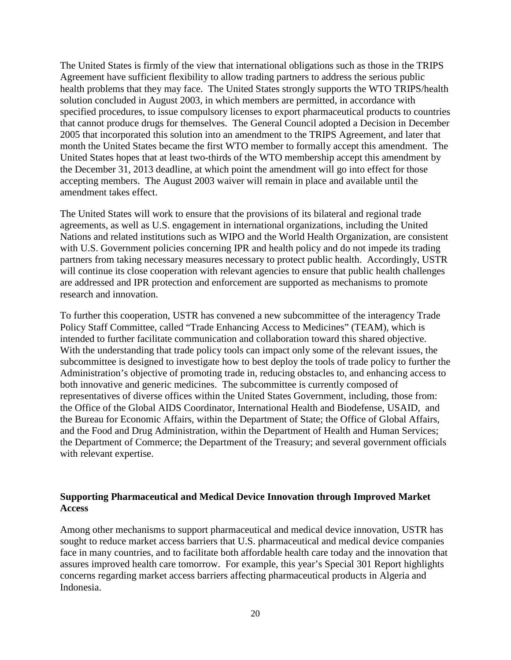The United States is firmly of the view that international obligations such as those in the TRIPS Agreement have sufficient flexibility to allow trading partners to address the serious public health problems that they may face. The United States strongly supports the WTO TRIPS/health solution concluded in August 2003, in which members are permitted, in accordance with specified procedures, to issue compulsory licenses to export pharmaceutical products to countries that cannot produce drugs for themselves. The General Council adopted a Decision in December 2005 that incorporated this solution into an amendment to the TRIPS Agreement, and later that month the United States became the first WTO member to formally accept this amendment. The United States hopes that at least two-thirds of the WTO membership accept this amendment by the December 31, 2013 deadline, at which point the amendment will go into effect for those accepting members. The August 2003 waiver will remain in place and available until the amendment takes effect.

The United States will work to ensure that the provisions of its bilateral and regional trade agreements, as well as U.S. engagement in international organizations, including the United Nations and related institutions such as WIPO and the World Health Organization, are consistent with U.S. Government policies concerning IPR and health policy and do not impede its trading partners from taking necessary measures necessary to protect public health. Accordingly, USTR will continue its close cooperation with relevant agencies to ensure that public health challenges are addressed and IPR protection and enforcement are supported as mechanisms to promote research and innovation.

To further this cooperation, USTR has convened a new subcommittee of the interagency Trade Policy Staff Committee, called "Trade Enhancing Access to Medicines" (TEAM), which is intended to further facilitate communication and collaboration toward this shared objective. With the understanding that trade policy tools can impact only some of the relevant issues, the subcommittee is designed to investigate how to best deploy the tools of trade policy to further the Administration's objective of promoting trade in, reducing obstacles to, and enhancing access to both innovative and generic medicines. The subcommittee is currently composed of representatives of diverse offices within the United States Government, including, those from: the Office of the Global AIDS Coordinator, International Health and Biodefense, USAID, and the Bureau for Economic Affairs, within the Department of State; the Office of Global Affairs, and the Food and Drug Administration, within the Department of Health and Human Services; the Department of Commerce; the Department of the Treasury; and several government officials with relevant expertise.

# <span id="page-20-0"></span>**Supporting Pharmaceutical and Medical Device Innovation through Improved Market Access**

Among other mechanisms to support pharmaceutical and medical device innovation, USTR has sought to reduce market access barriers that U.S. pharmaceutical and medical device companies face in many countries, and to facilitate both affordable health care today and the innovation that assures improved health care tomorrow. For example, this year's Special 301 Report highlights concerns regarding market access barriers affecting pharmaceutical products in Algeria and Indonesia.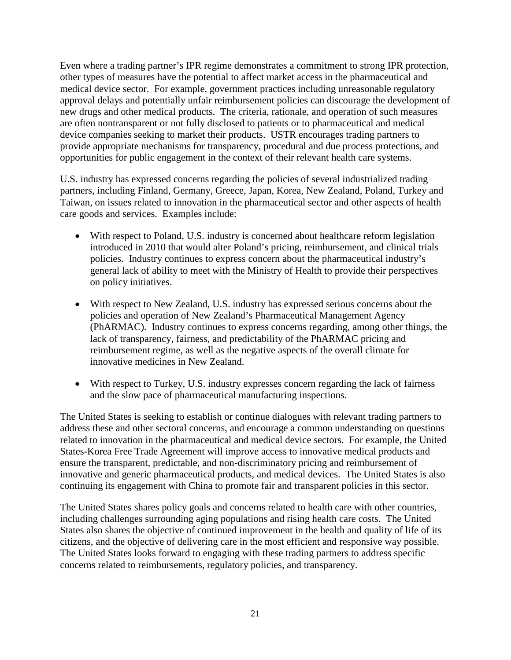Even where a trading partner's IPR regime demonstrates a commitment to strong IPR protection, other types of measures have the potential to affect market access in the pharmaceutical and medical device sector. For example, government practices including unreasonable regulatory approval delays and potentially unfair reimbursement policies can discourage the development of new drugs and other medical products. The criteria, rationale, and operation of such measures are often nontransparent or not fully disclosed to patients or to pharmaceutical and medical device companies seeking to market their products. USTR encourages trading partners to provide appropriate mechanisms for transparency, procedural and due process protections, and opportunities for public engagement in the context of their relevant health care systems.

U.S. industry has expressed concerns regarding the policies of several industrialized trading partners, including Finland, Germany, Greece, Japan, Korea, New Zealand, Poland, Turkey and Taiwan, on issues related to innovation in the pharmaceutical sector and other aspects of health care goods and services. Examples include:

- With respect to Poland, U.S. industry is concerned about healthcare reform legislation introduced in 2010 that would alter Poland's pricing, reimbursement, and clinical trials policies. Industry continues to express concern about the pharmaceutical industry's general lack of ability to meet with the Ministry of Health to provide their perspectives on policy initiatives.
- With respect to New Zealand, U.S. industry has expressed serious concerns about the policies and operation of New Zealand's Pharmaceutical Management Agency (PhARMAC). Industry continues to express concerns regarding, among other things, the lack of transparency, fairness, and predictability of the PhARMAC pricing and reimbursement regime, as well as the negative aspects of the overall climate for innovative medicines in New Zealand.
- With respect to Turkey, U.S. industry expresses concern regarding the lack of fairness and the slow pace of pharmaceutical manufacturing inspections.

The United States is seeking to establish or continue dialogues with relevant trading partners to address these and other sectoral concerns, and encourage a common understanding on questions related to innovation in the pharmaceutical and medical device sectors. For example, the United States-Korea Free Trade Agreement will improve access to innovative medical products and ensure the transparent, predictable, and non-discriminatory pricing and reimbursement of innovative and generic pharmaceutical products, and medical devices. The United States is also continuing its engagement with China to promote fair and transparent policies in this sector.

The United States shares policy goals and concerns related to health care with other countries, including challenges surrounding aging populations and rising health care costs. The United States also shares the objective of continued improvement in the health and quality of life of its citizens, and the objective of delivering care in the most efficient and responsive way possible. The United States looks forward to engaging with these trading partners to address specific concerns related to reimbursements, regulatory policies, and transparency.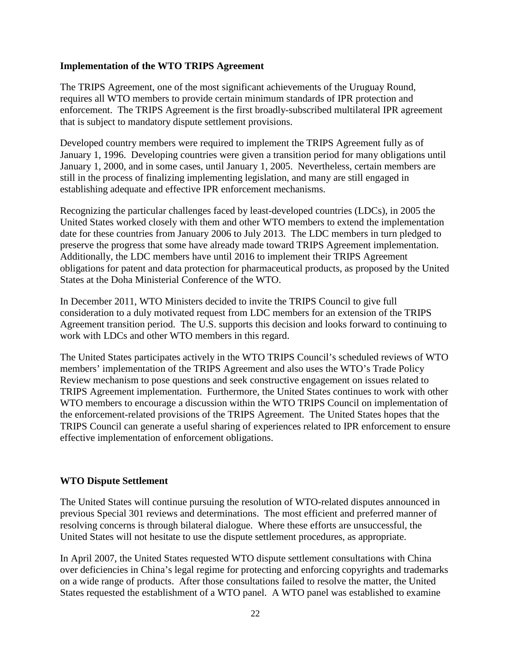# <span id="page-22-0"></span>**Implementation of the WTO TRIPS Agreement**

The TRIPS Agreement, one of the most significant achievements of the Uruguay Round, requires all WTO members to provide certain minimum standards of IPR protection and enforcement. The TRIPS Agreement is the first broadly-subscribed multilateral IPR agreement that is subject to mandatory dispute settlement provisions.

Developed country members were required to implement the TRIPS Agreement fully as of January 1, 1996. Developing countries were given a transition period for many obligations until January 1, 2000, and in some cases, until January 1, 2005. Nevertheless, certain members are still in the process of finalizing implementing legislation, and many are still engaged in establishing adequate and effective IPR enforcement mechanisms.

Recognizing the particular challenges faced by least-developed countries (LDCs), in 2005 the United States worked closely with them and other WTO members to extend the implementation date for these countries from January 2006 to July 2013. The LDC members in turn pledged to preserve the progress that some have already made toward TRIPS Agreement implementation. Additionally, the LDC members have until 2016 to implement their TRIPS Agreement obligations for patent and data protection for pharmaceutical products, as proposed by the United States at the Doha Ministerial Conference of the WTO.

In December 2011, WTO Ministers decided to invite the TRIPS Council to give full consideration to a duly motivated request from LDC members for an extension of the TRIPS Agreement transition period. The U.S. supports this decision and looks forward to continuing to work with LDCs and other WTO members in this regard.

The United States participates actively in the WTO TRIPS Council's scheduled reviews of WTO members' implementation of the TRIPS Agreement and also uses the WTO's Trade Policy Review mechanism to pose questions and seek constructive engagement on issues related to TRIPS Agreement implementation. Furthermore, the United States continues to work with other WTO members to encourage a discussion within the WTO TRIPS Council on implementation of the enforcement-related provisions of the TRIPS Agreement. The United States hopes that the TRIPS Council can generate a useful sharing of experiences related to IPR enforcement to ensure effective implementation of enforcement obligations.

# <span id="page-22-1"></span>**WTO Dispute Settlement**

The United States will continue pursuing the resolution of WTO-related disputes announced in previous Special 301 reviews and determinations. The most efficient and preferred manner of resolving concerns is through bilateral dialogue. Where these efforts are unsuccessful, the United States will not hesitate to use the dispute settlement procedures, as appropriate.

In April 2007, the United States requested WTO dispute settlement consultations with China over deficiencies in China's legal regime for protecting and enforcing copyrights and trademarks on a wide range of products. After those consultations failed to resolve the matter, the United States requested the establishment of a WTO panel. A WTO panel was established to examine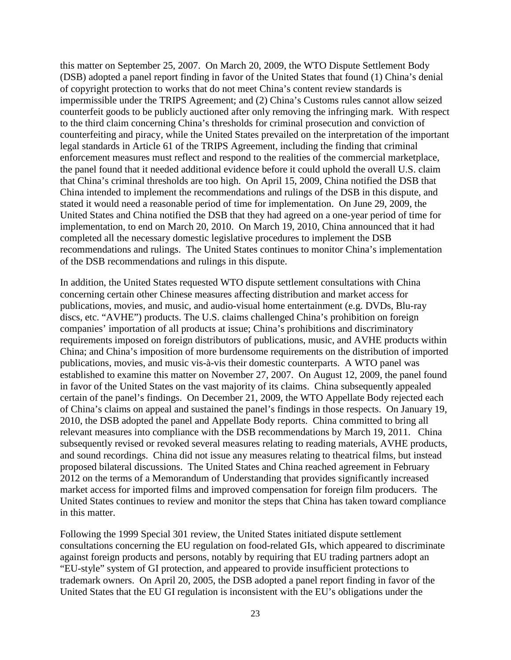this matter on September 25, 2007. On March 20, 2009, the WTO Dispute Settlement Body (DSB) adopted a panel report finding in favor of the United States that found (1) China's denial of copyright protection to works that do not meet China's content review standards is impermissible under the TRIPS Agreement; and (2) China's Customs rules cannot allow seized counterfeit goods to be publicly auctioned after only removing the infringing mark. With respect to the third claim concerning China's thresholds for criminal prosecution and conviction of counterfeiting and piracy, while the United States prevailed on the interpretation of the important legal standards in Article 61 of the TRIPS Agreement, including the finding that criminal enforcement measures must reflect and respond to the realities of the commercial marketplace, the panel found that it needed additional evidence before it could uphold the overall U.S. claim that China's criminal thresholds are too high. On April 15, 2009, China notified the DSB that China intended to implement the recommendations and rulings of the DSB in this dispute, and stated it would need a reasonable period of time for implementation. On June 29, 2009, the United States and China notified the DSB that they had agreed on a one-year period of time for implementation, to end on March 20, 2010. On March 19, 2010, China announced that it had completed all the necessary domestic legislative procedures to implement the DSB recommendations and rulings. The United States continues to monitor China's implementation of the DSB recommendations and rulings in this dispute.

In addition, the United States requested WTO dispute settlement consultations with China concerning certain other Chinese measures affecting distribution and market access for publications, movies, and music, and audio-visual home entertainment (e.g. DVDs, Blu-ray discs, etc. "AVHE") products. The U.S. claims challenged China's prohibition on foreign companies' importation of all products at issue; China's prohibitions and discriminatory requirements imposed on foreign distributors of publications, music, and AVHE products within China; and China's imposition of more burdensome requirements on the distribution of imported publications, movies, and music vis-à-vis their domestic counterparts. A WTO panel was established to examine this matter on November 27, 2007. On August 12, 2009, the panel found in favor of the United States on the vast majority of its claims. China subsequently appealed certain of the panel's findings. On December 21, 2009, the WTO Appellate Body rejected each of China's claims on appeal and sustained the panel's findings in those respects. On January 19, 2010, the DSB adopted the panel and Appellate Body reports. China committed to bring all relevant measures into compliance with the DSB recommendations by March 19, 2011. China subsequently revised or revoked several measures relating to reading materials, AVHE products, and sound recordings. China did not issue any measures relating to theatrical films, but instead proposed bilateral discussions. The United States and China reached agreement in February 2012 on the terms of a Memorandum of Understanding that provides significantly increased market access for imported films and improved compensation for foreign film producers. The United States continues to review and monitor the steps that China has taken toward compliance in this matter.

Following the 1999 Special 301 review, the United States initiated dispute settlement consultations concerning the EU regulation on food-related GIs, which appeared to discriminate against foreign products and persons, notably by requiring that EU trading partners adopt an "EU-style" system of GI protection, and appeared to provide insufficient protections to trademark owners. On April 20, 2005, the DSB adopted a panel report finding in favor of the United States that the EU GI regulation is inconsistent with the EU's obligations under the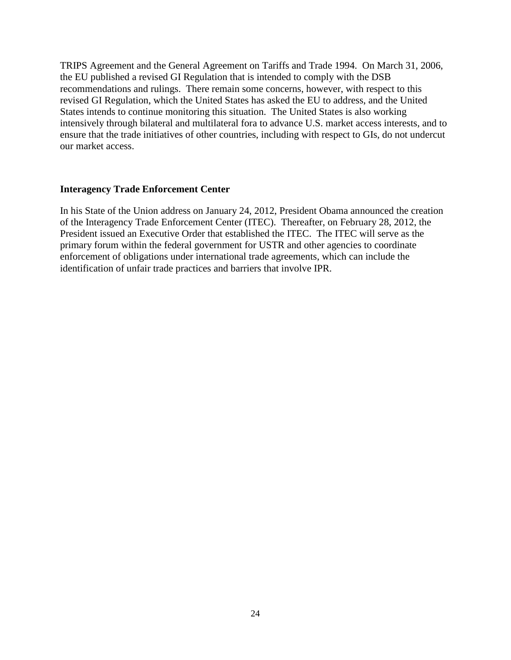TRIPS Agreement and the General Agreement on Tariffs and Trade 1994. On March 31, 2006, the EU published a revised GI Regulation that is intended to comply with the DSB recommendations and rulings. There remain some concerns, however, with respect to this revised GI Regulation, which the United States has asked the EU to address, and the United States intends to continue monitoring this situation. The United States is also working intensively through bilateral and multilateral fora to advance U.S. market access interests, and to ensure that the trade initiatives of other countries, including with respect to GIs, do not undercut our market access.

#### <span id="page-24-0"></span>**Interagency Trade Enforcement Center**

In his State of the Union address on January 24, 2012, President Obama announced the creation of the Interagency Trade Enforcement Center (ITEC). Thereafter, on February 28, 2012, the President issued an Executive Order that established the ITEC. The ITEC will serve as the primary forum within the federal government for USTR and other agencies to coordinate enforcement of obligations under international trade agreements, which can include the identification of unfair trade practices and barriers that involve IPR.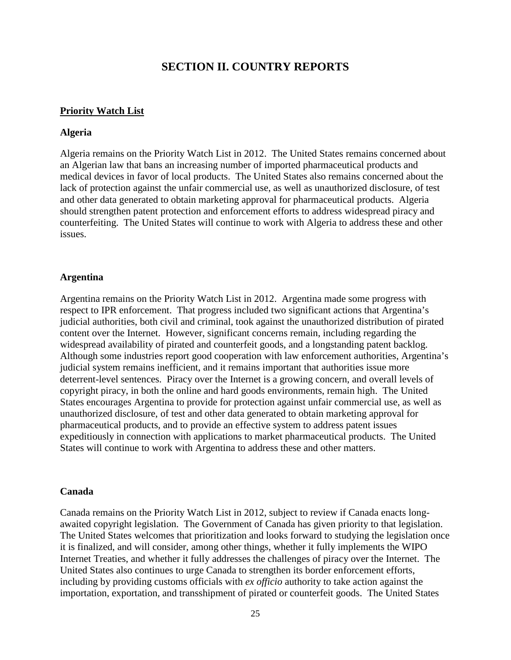# **SECTION II. COUNTRY REPORTS**

#### <span id="page-25-1"></span><span id="page-25-0"></span>**Priority Watch List**

#### <span id="page-25-2"></span>**Algeria**

Algeria remains on the Priority Watch List in 2012. The United States remains concerned about an Algerian law that bans an increasing number of imported pharmaceutical products and medical devices in favor of local products. The United States also remains concerned about the lack of protection against the unfair commercial use, as well as unauthorized disclosure, of test and other data generated to obtain marketing approval for pharmaceutical products. Algeria should strengthen patent protection and enforcement efforts to address widespread piracy and counterfeiting. The United States will continue to work with Algeria to address these and other issues.

#### <span id="page-25-3"></span>**Argentina**

Argentina remains on the Priority Watch List in 2012. Argentina made some progress with respect to IPR enforcement. That progress included two significant actions that Argentina's judicial authorities, both civil and criminal, took against the unauthorized distribution of pirated content over the Internet. However, significant concerns remain, including regarding the widespread availability of pirated and counterfeit goods, and a longstanding patent backlog. Although some industries report good cooperation with law enforcement authorities, Argentina's judicial system remains inefficient, and it remains important that authorities issue more deterrent-level sentences. Piracy over the Internet is a growing concern, and overall levels of copyright piracy, in both the online and hard goods environments, remain high. The United States encourages Argentina to provide for protection against unfair commercial use, as well as unauthorized disclosure, of test and other data generated to obtain marketing approval for pharmaceutical products, and to provide an effective system to address patent issues expeditiously in connection with applications to market pharmaceutical products. The United States will continue to work with Argentina to address these and other matters.

#### <span id="page-25-4"></span>**Canada**

Canada remains on the Priority Watch List in 2012, subject to review if Canada enacts longawaited copyright legislation. The Government of Canada has given priority to that legislation. The United States welcomes that prioritization and looks forward to studying the legislation once it is finalized, and will consider, among other things, whether it fully implements the WIPO Internet Treaties, and whether it fully addresses the challenges of piracy over the Internet. The United States also continues to urge Canada to strengthen its border enforcement efforts, including by providing customs officials with *ex officio* authority to take action against the importation, exportation, and transshipment of pirated or counterfeit goods. The United States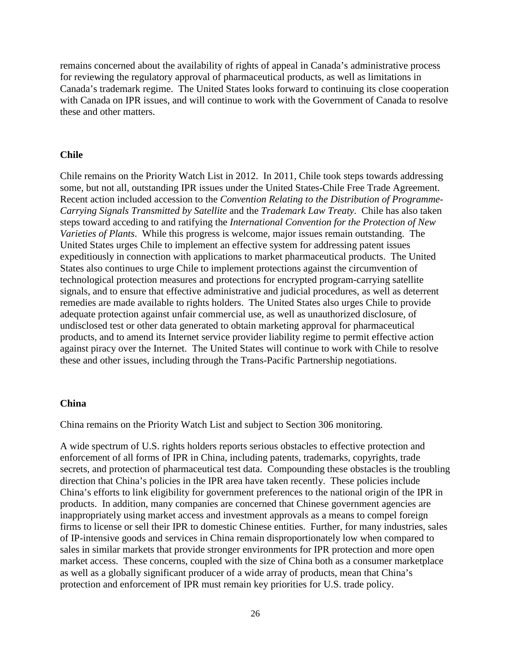remains concerned about the availability of rights of appeal in Canada's administrative process for reviewing the regulatory approval of pharmaceutical products, as well as limitations in Canada's trademark regime. The United States looks forward to continuing its close cooperation with Canada on IPR issues, and will continue to work with the Government of Canada to resolve these and other matters.

#### <span id="page-26-0"></span>**Chile**

Chile remains on the Priority Watch List in 2012. In 2011, Chile took steps towards addressing some, but not all, outstanding IPR issues under the United States-Chile Free Trade Agreement. Recent action included accession to the *Convention Relating to the Distribution of Programme-Carrying Signals Transmitted by Satellite* and the *Trademark Law Treaty*. Chile has also taken steps toward acceding to and ratifying the *International Convention for the Protection of New Varieties of Plants*. While this progress is welcome, major issues remain outstanding. The United States urges Chile to implement an effective system for addressing patent issues expeditiously in connection with applications to market pharmaceutical products. The United States also continues to urge Chile to implement protections against the circumvention of technological protection measures and protections for encrypted program-carrying satellite signals, and to ensure that effective administrative and judicial procedures, as well as deterrent remedies are made available to rights holders. The United States also urges Chile to provide adequate protection against unfair commercial use, as well as unauthorized disclosure, of undisclosed test or other data generated to obtain marketing approval for pharmaceutical products, and to amend its Internet service provider liability regime to permit effective action against piracy over the Internet. The United States will continue to work with Chile to resolve these and other issues, including through the Trans-Pacific Partnership negotiations.

#### <span id="page-26-1"></span>**China**

China remains on the Priority Watch List and subject to Section 306 monitoring.

A wide spectrum of U.S. rights holders reports serious obstacles to effective protection and enforcement of all forms of IPR in China, including patents, trademarks, copyrights, trade secrets, and protection of pharmaceutical test data. Compounding these obstacles is the troubling direction that China's policies in the IPR area have taken recently. These policies include China's efforts to link eligibility for government preferences to the national origin of the IPR in products. In addition, many companies are concerned that Chinese government agencies are inappropriately using market access and investment approvals as a means to compel foreign firms to license or sell their IPR to domestic Chinese entities. Further, for many industries, sales of IP-intensive goods and services in China remain disproportionately low when compared to sales in similar markets that provide stronger environments for IPR protection and more open market access. These concerns, coupled with the size of China both as a consumer marketplace as well as a globally significant producer of a wide array of products, mean that China's protection and enforcement of IPR must remain key priorities for U.S. trade policy.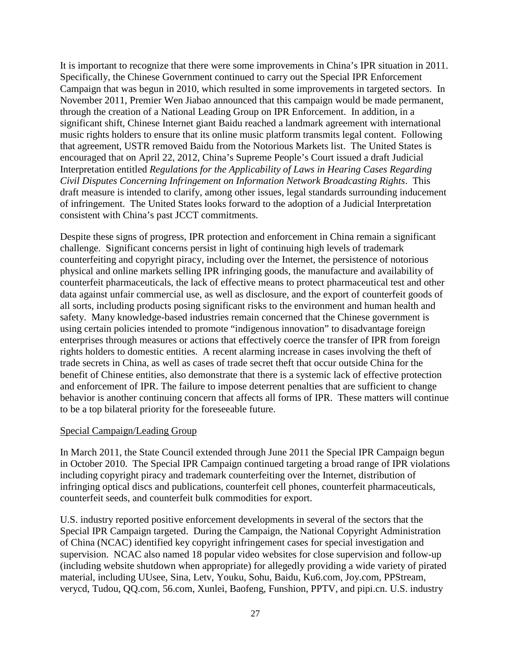It is important to recognize that there were some improvements in China's IPR situation in 2011. Specifically, the Chinese Government continued to carry out the Special IPR Enforcement Campaign that was begun in 2010, which resulted in some improvements in targeted sectors. In November 2011, Premier Wen Jiabao announced that this campaign would be made permanent, through the creation of a National Leading Group on IPR Enforcement. In addition, in a significant shift, Chinese Internet giant Baidu reached a landmark agreement with international music rights holders to ensure that its online music platform transmits legal content. Following that agreement, USTR removed Baidu from the Notorious Markets list. The United States is encouraged that on April 22, 2012, China's Supreme People's Court issued a draft Judicial Interpretation entitled *Regulations for the Applicability of Laws in Hearing Cases Regarding Civil Disputes Concerning Infringement on Information Network Broadcasting Rights*. This draft measure is intended to clarify, among other issues, legal standards surrounding inducement of infringement. The United States looks forward to the adoption of a Judicial Interpretation consistent with China's past JCCT commitments.

Despite these signs of progress, IPR protection and enforcement in China remain a significant challenge. Significant concerns persist in light of continuing high levels of trademark counterfeiting and copyright piracy, including over the Internet, the persistence of notorious physical and online markets selling IPR infringing goods, the manufacture and availability of counterfeit pharmaceuticals, the lack of effective means to protect pharmaceutical test and other data against unfair commercial use, as well as disclosure, and the export of counterfeit goods of all sorts, including products posing significant risks to the environment and human health and safety. Many knowledge-based industries remain concerned that the Chinese government is using certain policies intended to promote "indigenous innovation" to disadvantage foreign enterprises through measures or actions that effectively coerce the transfer of IPR from foreign rights holders to domestic entities. A recent alarming increase in cases involving the theft of trade secrets in China, as well as cases of trade secret theft that occur outside China for the benefit of Chinese entities, also demonstrate that there is a systemic lack of effective protection and enforcement of IPR. The failure to impose deterrent penalties that are sufficient to change behavior is another continuing concern that affects all forms of IPR. These matters will continue to be a top bilateral priority for the foreseeable future.

# Special Campaign/Leading Group

In March 2011, the State Council extended through June 2011 the Special IPR Campaign begun in October 2010. The Special IPR Campaign continued targeting a broad range of IPR violations including copyright piracy and trademark counterfeiting over the Internet, distribution of infringing optical discs and publications, counterfeit cell phones, counterfeit pharmaceuticals, counterfeit seeds, and counterfeit bulk commodities for export.

U.S. industry reported positive enforcement developments in several of the sectors that the Special IPR Campaign targeted. During the Campaign, the National Copyright Administration of China (NCAC) identified key copyright infringement cases for special investigation and supervision. NCAC also named 18 popular video websites for close supervision and follow-up (including website shutdown when appropriate) for allegedly providing a wide variety of pirated material, including UUsee, Sina, Letv, Youku, Sohu, Baidu, Ku6.com, Joy.com, PPStream, verycd, Tudou, QQ.com, 56.com, Xunlei, Baofeng, Funshion, PPTV, and pipi.cn. U.S. industry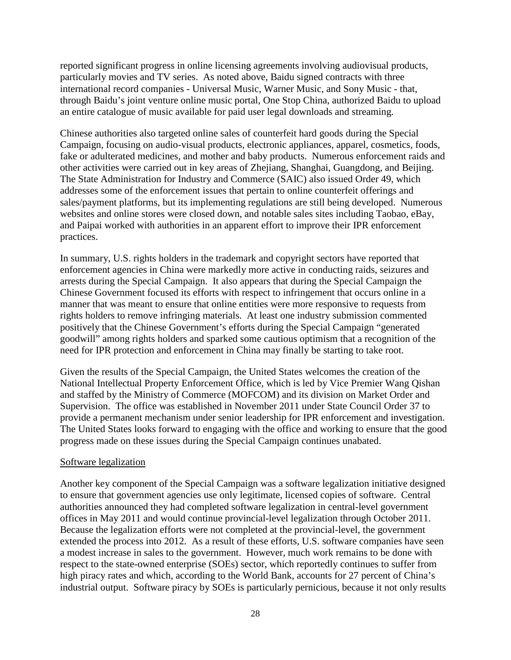reported significant progress in online licensing agreements involving audiovisual products, particularly movies and TV series. As noted above, Baidu signed contracts with three international record companies - Universal Music, Warner Music, and Sony Music - that, through Baidu's joint venture online music portal, One Stop China, authorized Baidu to upload an entire catalogue of music available for paid user legal downloads and streaming.

Chinese authorities also targeted online sales of counterfeit hard goods during the Special Campaign, focusing on audio-visual products, electronic appliances, apparel, cosmetics, foods, fake or adulterated medicines, and mother and baby products. Numerous enforcement raids and other activities were carried out in key areas of Zhejiang, Shanghai, Guangdong, and Beijing. The State Administration for Industry and Commerce (SAIC) also issued Order 49, which addresses some of the enforcement issues that pertain to online counterfeit offerings and sales/payment platforms, but its implementing regulations are still being developed. Numerous websites and online stores were closed down, and notable sales sites including Taobao, eBay, and Paipai worked with authorities in an apparent effort to improve their IPR enforcement practices.

In summary, U.S. rights holders in the trademark and copyright sectors have reported that enforcement agencies in China were markedly more active in conducting raids, seizures and arrests during the Special Campaign. It also appears that during the Special Campaign the Chinese Government focused its efforts with respect to infringement that occurs online in a manner that was meant to ensure that online entities were more responsive to requests from rights holders to remove infringing materials. At least one industry submission commented positively that the Chinese Government's efforts during the Special Campaign "generated goodwill" among rights holders and sparked some cautious optimism that a recognition of the need for IPR protection and enforcement in China may finally be starting to take root.

Given the results of the Special Campaign, the United States welcomes the creation of the National Intellectual Property Enforcement Office, which is led by Vice Premier Wang Qishan and staffed by the Ministry of Commerce (MOFCOM) and its division on Market Order and Supervision. The office was established in November 2011 under State Council Order 37 to provide a permanent mechanism under senior leadership for IPR enforcement and investigation. The United States looks forward to engaging with the office and working to ensure that the good progress made on these issues during the Special Campaign continues unabated.

# Software legalization

Another key component of the Special Campaign was a software legalization initiative designed to ensure that government agencies use only legitimate, licensed copies of software. Central authorities announced they had completed software legalization in central-level government offices in May 2011 and would continue provincial-level legalization through October 2011. Because the legalization efforts were not completed at the provincial-level, the government extended the process into 2012. As a result of these efforts, U.S. software companies have seen a modest increase in sales to the government. However, much work remains to be done with respect to the state-owned enterprise (SOEs) sector, which reportedly continues to suffer from high piracy rates and which, according to the World Bank, accounts for 27 percent of China's industrial output. Software piracy by SOEs is particularly pernicious, because it not only results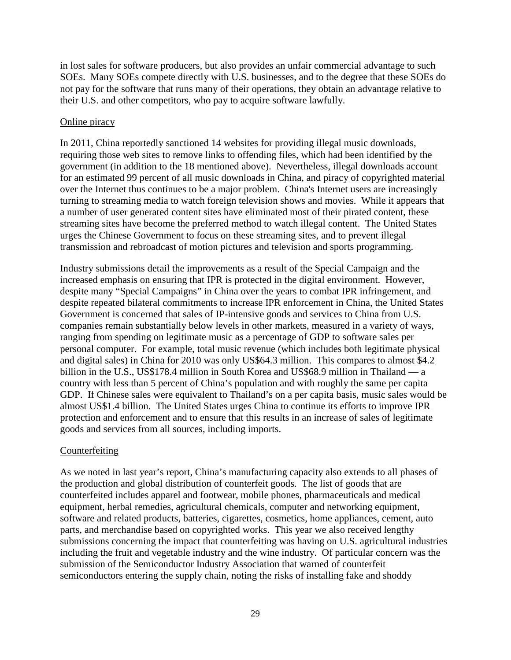in lost sales for software producers, but also provides an unfair commercial advantage to such SOEs. Many SOEs compete directly with U.S. businesses, and to the degree that these SOEs do not pay for the software that runs many of their operations, they obtain an advantage relative to their U.S. and other competitors, who pay to acquire software lawfully.

# Online piracy

In 2011, China reportedly sanctioned 14 websites for providing illegal music downloads, requiring those web sites to remove links to offending files, which had been identified by the government (in addition to the 18 mentioned above). Nevertheless, illegal downloads account for an estimated 99 percent of all music downloads in China, and piracy of copyrighted material over the Internet thus continues to be a major problem. China's Internet users are increasingly turning to streaming media to watch foreign television shows and movies. While it appears that a number of user generated content sites have eliminated most of their pirated content, these streaming sites have become the preferred method to watch illegal content. The United States urges the Chinese Government to focus on these streaming sites, and to prevent illegal transmission and rebroadcast of motion pictures and television and sports programming.

Industry submissions detail the improvements as a result of the Special Campaign and the increased emphasis on ensuring that IPR is protected in the digital environment. However, despite many "Special Campaigns" in China over the years to combat IPR infringement, and despite repeated bilateral commitments to increase IPR enforcement in China, the United States Government is concerned that sales of IP-intensive goods and services to China from U.S. companies remain substantially below levels in other markets, measured in a variety of ways, ranging from spending on legitimate music as a percentage of GDP to software sales per personal computer. For example, total music revenue (which includes both legitimate physical and digital sales) in China for 2010 was only US\$64.3 million. This compares to almost \$4.2 billion in the U.S., US\$178.4 million in South Korea and US\$68.9 million in Thailand — a country with less than 5 percent of China's population and with roughly the same per capita GDP. If Chinese sales were equivalent to Thailand's on a per capita basis, music sales would be almost US\$1.4 billion. The United States urges China to continue its efforts to improve IPR protection and enforcement and to ensure that this results in an increase of sales of legitimate goods and services from all sources, including imports.

# Counterfeiting

As we noted in last year's report, China's manufacturing capacity also extends to all phases of the production and global distribution of counterfeit goods. The list of goods that are counterfeited includes apparel and footwear, mobile phones, pharmaceuticals and medical equipment, herbal remedies, agricultural chemicals, computer and networking equipment, software and related products, batteries, cigarettes, cosmetics, home appliances, cement, auto parts, and merchandise based on copyrighted works. This year we also received lengthy submissions concerning the impact that counterfeiting was having on U.S. agricultural industries including the fruit and vegetable industry and the wine industry. Of particular concern was the submission of the Semiconductor Industry Association that warned of counterfeit semiconductors entering the supply chain, noting the risks of installing fake and shoddy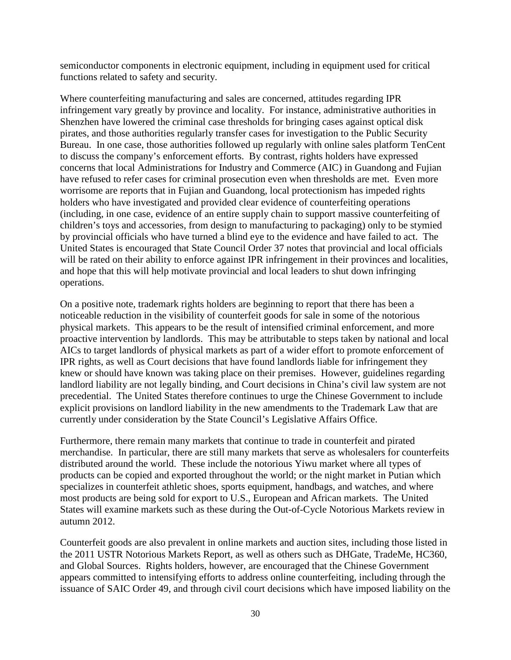semiconductor components in electronic equipment, including in equipment used for critical functions related to safety and security.

Where counterfeiting manufacturing and sales are concerned, attitudes regarding IPR infringement vary greatly by province and locality. For instance, administrative authorities in Shenzhen have lowered the criminal case thresholds for bringing cases against optical disk pirates, and those authorities regularly transfer cases for investigation to the Public Security Bureau. In one case, those authorities followed up regularly with online sales platform TenCent to discuss the company's enforcement efforts. By contrast, rights holders have expressed concerns that local Administrations for Industry and Commerce (AIC) in Guandong and Fujian have refused to refer cases for criminal prosecution even when thresholds are met. Even more worrisome are reports that in Fujian and Guandong, local protectionism has impeded rights holders who have investigated and provided clear evidence of counterfeiting operations (including, in one case, evidence of an entire supply chain to support massive counterfeiting of children's toys and accessories, from design to manufacturing to packaging) only to be stymied by provincial officials who have turned a blind eye to the evidence and have failed to act. The United States is encouraged that State Council Order 37 notes that provincial and local officials will be rated on their ability to enforce against IPR infringement in their provinces and localities, and hope that this will help motivate provincial and local leaders to shut down infringing operations.

On a positive note, trademark rights holders are beginning to report that there has been a noticeable reduction in the visibility of counterfeit goods for sale in some of the notorious physical markets. This appears to be the result of intensified criminal enforcement, and more proactive intervention by landlords. This may be attributable to steps taken by national and local AICs to target landlords of physical markets as part of a wider effort to promote enforcement of IPR rights, as well as Court decisions that have found landlords liable for infringement they knew or should have known was taking place on their premises. However, guidelines regarding landlord liability are not legally binding, and Court decisions in China's civil law system are not precedential. The United States therefore continues to urge the Chinese Government to include explicit provisions on landlord liability in the new amendments to the Trademark Law that are currently under consideration by the State Council's Legislative Affairs Office.

Furthermore, there remain many markets that continue to trade in counterfeit and pirated merchandise. In particular, there are still many markets that serve as wholesalers for counterfeits distributed around the world. These include the notorious Yiwu market where all types of products can be copied and exported throughout the world; or the night market in Putian which specializes in counterfeit athletic shoes, sports equipment, handbags, and watches, and where most products are being sold for export to U.S., European and African markets. The United States will examine markets such as these during the Out-of-Cycle Notorious Markets review in autumn 2012.

Counterfeit goods are also prevalent in online markets and auction sites, including those listed in the 2011 USTR Notorious Markets Report, as well as others such as DHGate, TradeMe, HC360, and Global Sources. Rights holders, however, are encouraged that the Chinese Government appears committed to intensifying efforts to address online counterfeiting, including through the issuance of SAIC Order 49, and through civil court decisions which have imposed liability on the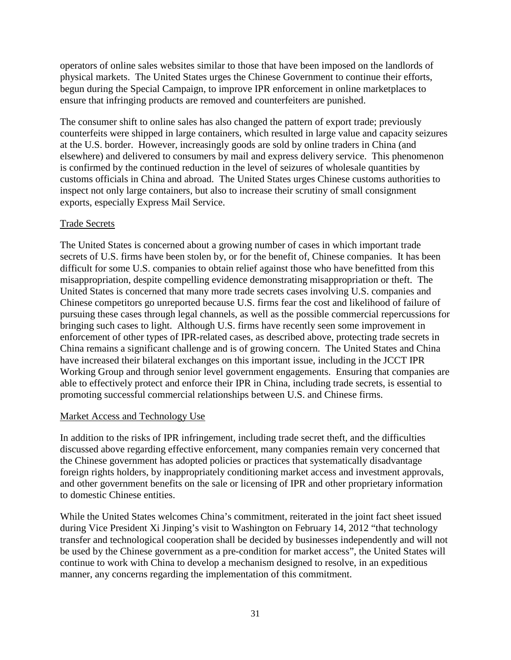operators of online sales websites similar to those that have been imposed on the landlords of physical markets. The United States urges the Chinese Government to continue their efforts, begun during the Special Campaign, to improve IPR enforcement in online marketplaces to ensure that infringing products are removed and counterfeiters are punished.

The consumer shift to online sales has also changed the pattern of export trade; previously counterfeits were shipped in large containers, which resulted in large value and capacity seizures at the U.S. border. However, increasingly goods are sold by online traders in China (and elsewhere) and delivered to consumers by mail and express delivery service. This phenomenon is confirmed by the continued reduction in the level of seizures of wholesale quantities by customs officials in China and abroad. The United States urges Chinese customs authorities to inspect not only large containers, but also to increase their scrutiny of small consignment exports, especially Express Mail Service.

# Trade Secrets

The United States is concerned about a growing number of cases in which important trade secrets of U.S. firms have been stolen by, or for the benefit of, Chinese companies. It has been difficult for some U.S. companies to obtain relief against those who have benefitted from this misappropriation, despite compelling evidence demonstrating misappropriation or theft. The United States is concerned that many more trade secrets cases involving U.S. companies and Chinese competitors go unreported because U.S. firms fear the cost and likelihood of failure of pursuing these cases through legal channels, as well as the possible commercial repercussions for bringing such cases to light. Although U.S. firms have recently seen some improvement in enforcement of other types of IPR-related cases, as described above, protecting trade secrets in China remains a significant challenge and is of growing concern. The United States and China have increased their bilateral exchanges on this important issue, including in the JCCT IPR Working Group and through senior level government engagements. Ensuring that companies are able to effectively protect and enforce their IPR in China, including trade secrets, is essential to promoting successful commercial relationships between U.S. and Chinese firms.

# Market Access and Technology Use

In addition to the risks of IPR infringement, including trade secret theft, and the difficulties discussed above regarding effective enforcement, many companies remain very concerned that the Chinese government has adopted policies or practices that systematically disadvantage foreign rights holders, by inappropriately conditioning market access and investment approvals, and other government benefits on the sale or licensing of IPR and other proprietary information to domestic Chinese entities.

While the United States welcomes China's commitment, reiterated in the joint fact sheet issued during Vice President Xi Jinping's visit to Washington on February 14, 2012 "that technology transfer and technological cooperation shall be decided by businesses independently and will not be used by the Chinese government as a pre-condition for market access", the United States will continue to work with China to develop a mechanism designed to resolve, in an expeditious manner, any concerns regarding the implementation of this commitment.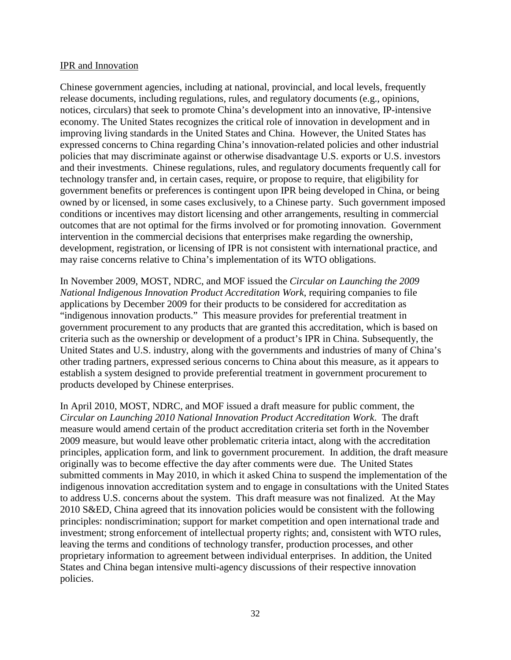#### IPR and Innovation

Chinese government agencies, including at national, provincial, and local levels, frequently release documents, including regulations, rules, and regulatory documents (e.g., opinions, notices, circulars) that seek to promote China's development into an innovative, IP-intensive economy. The United States recognizes the critical role of innovation in development and in improving living standards in the United States and China. However, the United States has expressed concerns to China regarding China's innovation-related policies and other industrial policies that may discriminate against or otherwise disadvantage U.S. exports or U.S. investors and their investments. Chinese regulations, rules, and regulatory documents frequently call for technology transfer and, in certain cases, require, or propose to require, that eligibility for government benefits or preferences is contingent upon IPR being developed in China, or being owned by or licensed, in some cases exclusively, to a Chinese party. Such government imposed conditions or incentives may distort licensing and other arrangements, resulting in commercial outcomes that are not optimal for the firms involved or for promoting innovation. Government intervention in the commercial decisions that enterprises make regarding the ownership, development, registration, or licensing of IPR is not consistent with international practice, and may raise concerns relative to China's implementation of its WTO obligations.

In November 2009, MOST, NDRC, and MOF issued the *Circular on Launching the 2009 National Indigenous Innovation Product Accreditation Work*, requiring companies to file applications by December 2009 for their products to be considered for accreditation as "indigenous innovation products." This measure provides for preferential treatment in government procurement to any products that are granted this accreditation, which is based on criteria such as the ownership or development of a product's IPR in China. Subsequently, the United States and U.S. industry, along with the governments and industries of many of China's other trading partners, expressed serious concerns to China about this measure, as it appears to establish a system designed to provide preferential treatment in government procurement to products developed by Chinese enterprises.

In April 2010, MOST, NDRC, and MOF issued a draft measure for public comment, the *Circular on Launching 2010 National Innovation Product Accreditation Work*. The draft measure would amend certain of the product accreditation criteria set forth in the November 2009 measure, but would leave other problematic criteria intact, along with the accreditation principles, application form, and link to government procurement. In addition, the draft measure originally was to become effective the day after comments were due. The United States submitted comments in May 2010, in which it asked China to suspend the implementation of the indigenous innovation accreditation system and to engage in consultations with the United States to address U.S. concerns about the system. This draft measure was not finalized. At the May 2010 S&ED, China agreed that its innovation policies would be consistent with the following principles: nondiscrimination; support for market competition and open international trade and investment; strong enforcement of intellectual property rights; and, consistent with WTO rules, leaving the terms and conditions of technology transfer, production processes, and other proprietary information to agreement between individual enterprises. In addition, the United States and China began intensive multi-agency discussions of their respective innovation policies.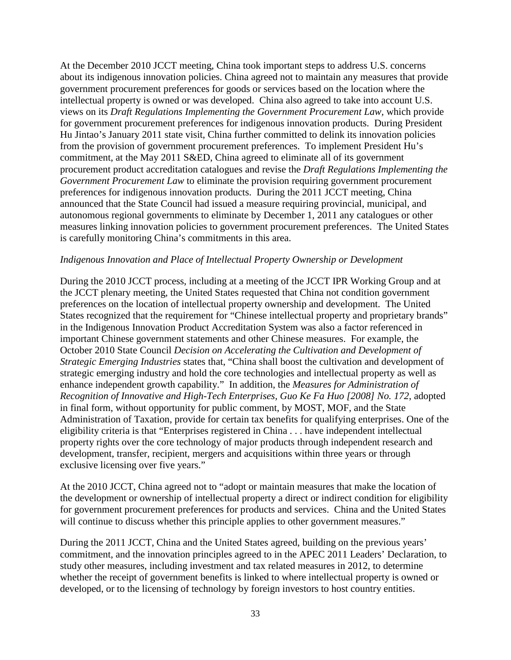At the December 2010 JCCT meeting, China took important steps to address U.S. concerns about its indigenous innovation policies. China agreed not to maintain any measures that provide government procurement preferences for goods or services based on the location where the intellectual property is owned or was developed. China also agreed to take into account U.S. views on its *Draft Regulations Implementing the Government Procurement Law,* which provide for government procurement preferences for indigenous innovation products. During President Hu Jintao's January 2011 state visit, China further committed to delink its innovation policies from the provision of government procurement preferences. To implement President Hu's commitment, at the May 2011 S&ED, China agreed to eliminate all of its government procurement product accreditation catalogues and revise the *Draft Regulations Implementing the Government Procurement Law* to eliminate the provision requiring government procurement preferences for indigenous innovation products. During the 2011 JCCT meeting, China announced that the State Council had issued a measure requiring provincial, municipal, and autonomous regional governments to eliminate by December 1, 2011 any catalogues or other measures linking innovation policies to government procurement preferences. The United States is carefully monitoring China's commitments in this area.

## *Indigenous Innovation and Place of Intellectual Property Ownership or Development*

During the 2010 JCCT process, including at a meeting of the JCCT IPR Working Group and at the JCCT plenary meeting, the United States requested that China not condition government preferences on the location of intellectual property ownership and development. The United States recognized that the requirement for "Chinese intellectual property and proprietary brands" in the Indigenous Innovation Product Accreditation System was also a factor referenced in important Chinese government statements and other Chinese measures. For example, the October 2010 State Council *Decision on Accelerating the Cultivation and Development of Strategic Emerging Industries* states that, "China shall boost the cultivation and development of strategic emerging industry and hold the core technologies and intellectual property as well as enhance independent growth capability." In addition, the *Measures for Administration of Recognition of Innovative and High-Tech Enterprises, Guo Ke Fa Huo [2008] No. 172*, adopted in final form, without opportunity for public comment, by MOST, MOF, and the State Administration of Taxation, provide for certain tax benefits for qualifying enterprises. One of the eligibility criteria is that "Enterprises registered in China . . . have independent intellectual property rights over the core technology of major products through independent research and development, transfer, recipient, mergers and acquisitions within three years or through exclusive licensing over five years."

At the 2010 JCCT, China agreed not to "adopt or maintain measures that make the location of the development or ownership of intellectual property a direct or indirect condition for eligibility for government procurement preferences for products and services. China and the United States will continue to discuss whether this principle applies to other government measures."

During the 2011 JCCT, China and the United States agreed, building on the previous years' commitment, and the innovation principles agreed to in the APEC 2011 Leaders' Declaration, to study other measures, including investment and tax related measures in 2012, to determine whether the receipt of government benefits is linked to where intellectual property is owned or developed, or to the licensing of technology by foreign investors to host country entities.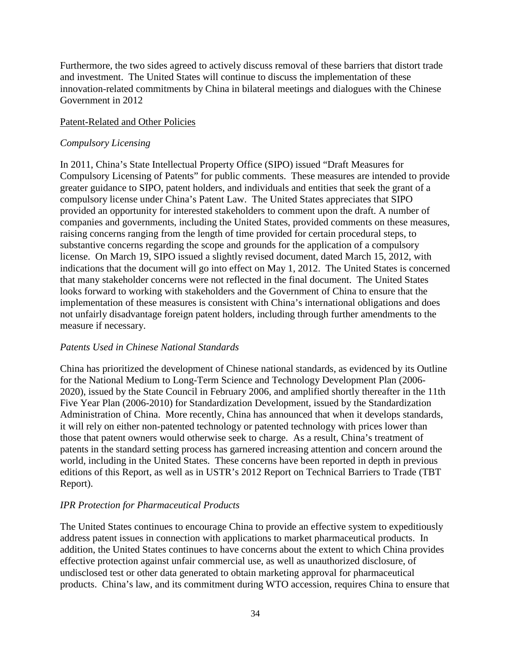Furthermore, the two sides agreed to actively discuss removal of these barriers that distort trade and investment. The United States will continue to discuss the implementation of these innovation-related commitments by China in bilateral meetings and dialogues with the Chinese Government in 2012

# Patent-Related and Other Policies

# *Compulsory Licensing*

In 2011, China's State Intellectual Property Office (SIPO) issued "Draft Measures for Compulsory Licensing of Patents" for public comments. These measures are intended to provide greater guidance to SIPO, patent holders, and individuals and entities that seek the grant of a compulsory license under China's Patent Law. The United States appreciates that SIPO provided an opportunity for interested stakeholders to comment upon the draft. A number of companies and governments, including the United States, provided comments on these measures, raising concerns ranging from the length of time provided for certain procedural steps, to substantive concerns regarding the scope and grounds for the application of a compulsory license. On March 19, SIPO issued a slightly revised document, dated March 15, 2012, with indications that the document will go into effect on May 1, 2012. The United States is concerned that many stakeholder concerns were not reflected in the final document. The United States looks forward to working with stakeholders and the Government of China to ensure that the implementation of these measures is consistent with China's international obligations and does not unfairly disadvantage foreign patent holders, including through further amendments to the measure if necessary.

# *Patents Used in Chinese National Standards*

China has prioritized the development of Chinese national standards, as evidenced by its Outline for the National Medium to Long-Term Science and Technology Development Plan (2006- 2020), issued by the State Council in February 2006, and amplified shortly thereafter in the 11th Five Year Plan (2006-2010) for Standardization Development, issued by the Standardization Administration of China. More recently, China has announced that when it develops standards, it will rely on either non-patented technology or patented technology with prices lower than those that patent owners would otherwise seek to charge. As a result, China's treatment of patents in the standard setting process has garnered increasing attention and concern around the world, including in the United States. These concerns have been reported in depth in previous editions of this Report, as well as in USTR's 2012 Report on Technical Barriers to Trade (TBT Report).

# *IPR Protection for Pharmaceutical Products*

The United States continues to encourage China to provide an effective system to expeditiously address patent issues in connection with applications to market pharmaceutical products. In addition, the United States continues to have concerns about the extent to which China provides effective protection against unfair commercial use, as well as unauthorized disclosure, of undisclosed test or other data generated to obtain marketing approval for pharmaceutical products. China's law, and its commitment during WTO accession, requires China to ensure that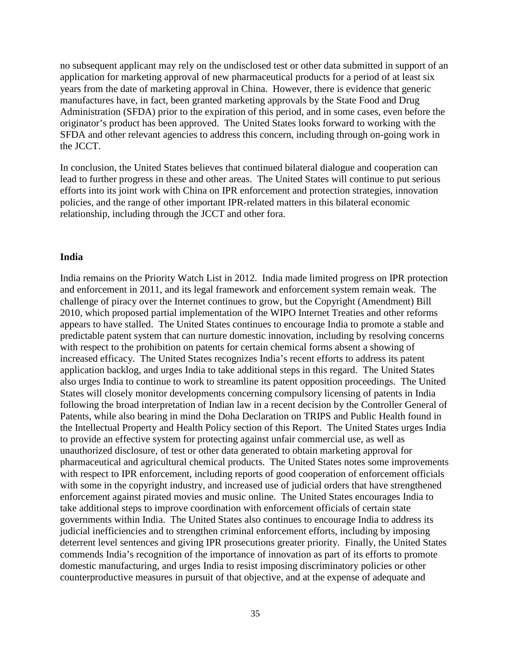no subsequent applicant may rely on the undisclosed test or other data submitted in support of an application for marketing approval of new pharmaceutical products for a period of at least six years from the date of marketing approval in China. However, there is evidence that generic manufactures have, in fact, been granted marketing approvals by the State Food and Drug Administration (SFDA) prior to the expiration of this period, and in some cases, even before the originator's product has been approved. The United States looks forward to working with the SFDA and other relevant agencies to address this concern, including through on-going work in the JCCT.

In conclusion, the United States believes that continued bilateral dialogue and cooperation can lead to further progress in these and other areas. The United States will continue to put serious efforts into its joint work with China on IPR enforcement and protection strategies, innovation policies, and the range of other important IPR-related matters in this bilateral economic relationship, including through the JCCT and other fora.

#### <span id="page-35-0"></span>**India**

India remains on the Priority Watch List in 2012. India made limited progress on IPR protection and enforcement in 2011, and its legal framework and enforcement system remain weak. The challenge of piracy over the Internet continues to grow, but the Copyright (Amendment) Bill 2010, which proposed partial implementation of the WIPO Internet Treaties and other reforms appears to have stalled. The United States continues to encourage India to promote a stable and predictable patent system that can nurture domestic innovation, including by resolving concerns with respect to the prohibition on patents for certain chemical forms absent a showing of increased efficacy. The United States recognizes India's recent efforts to address its patent application backlog, and urges India to take additional steps in this regard. The United States also urges India to continue to work to streamline its patent opposition proceedings. The United States will closely monitor developments concerning compulsory licensing of patents in India following the broad interpretation of Indian law in a recent decision by the Controller General of Patents, while also bearing in mind the Doha Declaration on TRIPS and Public Health found in the Intellectual Property and Health Policy section of this Report. The United States urges India to provide an effective system for protecting against unfair commercial use, as well as unauthorized disclosure, of test or other data generated to obtain marketing approval for pharmaceutical and agricultural chemical products. The United States notes some improvements with respect to IPR enforcement, including reports of good cooperation of enforcement officials with some in the copyright industry, and increased use of judicial orders that have strengthened enforcement against pirated movies and music online. The United States encourages India to take additional steps to improve coordination with enforcement officials of certain state governments within India. The United States also continues to encourage India to address its judicial inefficiencies and to strengthen criminal enforcement efforts, including by imposing deterrent level sentences and giving IPR prosecutions greater priority. Finally, the United States commends India's recognition of the importance of innovation as part of its efforts to promote domestic manufacturing, and urges India to resist imposing discriminatory policies or other counterproductive measures in pursuit of that objective, and at the expense of adequate and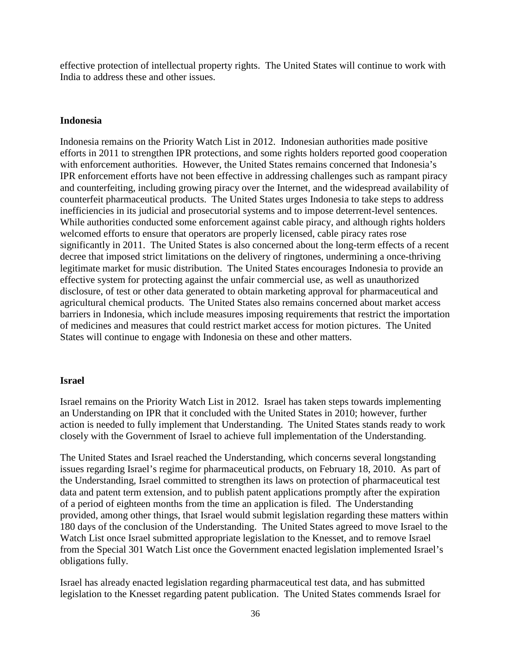effective protection of intellectual property rights. The United States will continue to work with India to address these and other issues.

## <span id="page-36-0"></span>**Indonesia**

Indonesia remains on the Priority Watch List in 2012. Indonesian authorities made positive efforts in 2011 to strengthen IPR protections, and some rights holders reported good cooperation with enforcement authorities. However, the United States remains concerned that Indonesia's IPR enforcement efforts have not been effective in addressing challenges such as rampant piracy and counterfeiting, including growing piracy over the Internet, and the widespread availability of counterfeit pharmaceutical products. The United States urges Indonesia to take steps to address inefficiencies in its judicial and prosecutorial systems and to impose deterrent-level sentences. While authorities conducted some enforcement against cable piracy, and although rights holders welcomed efforts to ensure that operators are properly licensed, cable piracy rates rose significantly in 2011. The United States is also concerned about the long-term effects of a recent decree that imposed strict limitations on the delivery of ringtones, undermining a once-thriving legitimate market for music distribution. The United States encourages Indonesia to provide an effective system for protecting against the unfair commercial use, as well as unauthorized disclosure, of test or other data generated to obtain marketing approval for pharmaceutical and agricultural chemical products. The United States also remains concerned about market access barriers in Indonesia, which include measures imposing requirements that restrict the importation of medicines and measures that could restrict market access for motion pictures. The United States will continue to engage with Indonesia on these and other matters.

# <span id="page-36-1"></span>**Israel**

Israel remains on the Priority Watch List in 2012. Israel has taken steps towards implementing an Understanding on IPR that it concluded with the United States in 2010; however, further action is needed to fully implement that Understanding. The United States stands ready to work closely with the Government of Israel to achieve full implementation of the Understanding.

The United States and Israel reached the Understanding, which concerns several longstanding issues regarding Israel's regime for pharmaceutical products, on February 18, 2010. As part of the Understanding, Israel committed to strengthen its laws on protection of pharmaceutical test data and patent term extension, and to publish patent applications promptly after the expiration of a period of eighteen months from the time an application is filed. The Understanding provided, among other things, that Israel would submit legislation regarding these matters within 180 days of the conclusion of the Understanding. The United States agreed to move Israel to the Watch List once Israel submitted appropriate legislation to the Knesset, and to remove Israel from the Special 301 Watch List once the Government enacted legislation implemented Israel's obligations fully.

Israel has already enacted legislation regarding pharmaceutical test data, and has submitted legislation to the Knesset regarding patent publication. The United States commends Israel for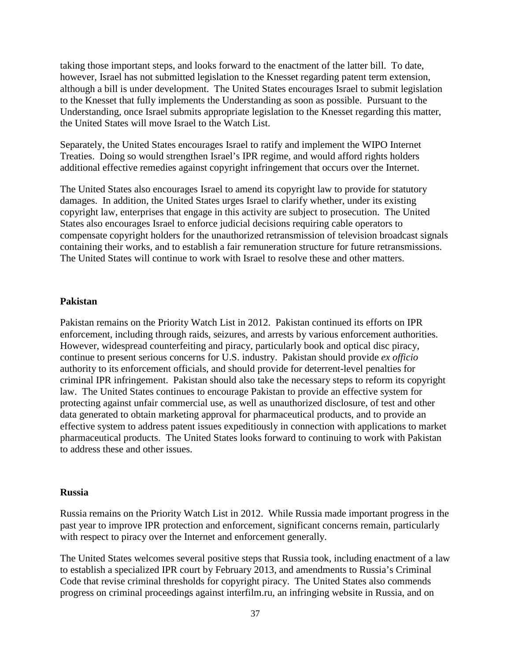taking those important steps, and looks forward to the enactment of the latter bill. To date, however, Israel has not submitted legislation to the Knesset regarding patent term extension, although a bill is under development. The United States encourages Israel to submit legislation to the Knesset that fully implements the Understanding as soon as possible. Pursuant to the Understanding, once Israel submits appropriate legislation to the Knesset regarding this matter, the United States will move Israel to the Watch List.

Separately, the United States encourages Israel to ratify and implement the WIPO Internet Treaties. Doing so would strengthen Israel's IPR regime, and would afford rights holders additional effective remedies against copyright infringement that occurs over the Internet.

The United States also encourages Israel to amend its copyright law to provide for statutory damages. In addition, the United States urges Israel to clarify whether, under its existing copyright law, enterprises that engage in this activity are subject to prosecution. The United States also encourages Israel to enforce judicial decisions requiring cable operators to compensate copyright holders for the unauthorized retransmission of television broadcast signals containing their works, and to establish a fair remuneration structure for future retransmissions. The United States will continue to work with Israel to resolve these and other matters.

## <span id="page-37-0"></span>**Pakistan**

Pakistan remains on the Priority Watch List in 2012. Pakistan continued its efforts on IPR enforcement, including through raids, seizures, and arrests by various enforcement authorities. However, widespread counterfeiting and piracy, particularly book and optical disc piracy, continue to present serious concerns for U.S. industry. Pakistan should provide *ex officio* authority to its enforcement officials, and should provide for deterrent-level penalties for criminal IPR infringement. Pakistan should also take the necessary steps to reform its copyright law. The United States continues to encourage Pakistan to provide an effective system for protecting against unfair commercial use, as well as unauthorized disclosure, of test and other data generated to obtain marketing approval for pharmaceutical products, and to provide an effective system to address patent issues expeditiously in connection with applications to market pharmaceutical products. The United States looks forward to continuing to work with Pakistan to address these and other issues.

#### <span id="page-37-1"></span>**Russia**

Russia remains on the Priority Watch List in 2012. While Russia made important progress in the past year to improve IPR protection and enforcement, significant concerns remain, particularly with respect to piracy over the Internet and enforcement generally.

The United States welcomes several positive steps that Russia took, including enactment of a law to establish a specialized IPR court by February 2013, and amendments to Russia's Criminal Code that revise criminal thresholds for copyright piracy. The United States also commends progress on criminal proceedings against interfilm.ru, an infringing website in Russia, and on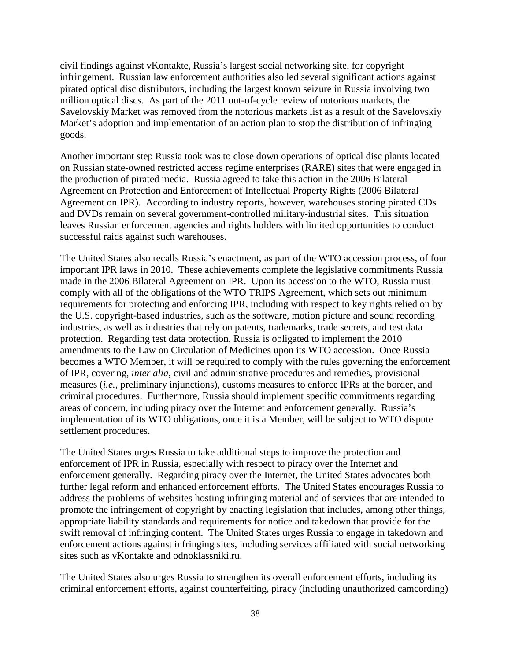civil findings against vKontakte, Russia's largest social networking site, for copyright infringement. Russian law enforcement authorities also led several significant actions against pirated optical disc distributors, including the largest known seizure in Russia involving two million optical discs. As part of the 2011 out-of-cycle review of notorious markets, the Savelovskiy Market was removed from the notorious markets list as a result of the Savelovskiy Market's adoption and implementation of an action plan to stop the distribution of infringing goods.

Another important step Russia took was to close down operations of optical disc plants located on Russian state-owned restricted access regime enterprises (RARE) sites that were engaged in the production of pirated media. Russia agreed to take this action in the 2006 Bilateral Agreement on Protection and Enforcement of Intellectual Property Rights (2006 Bilateral Agreement on IPR). According to industry reports, however, warehouses storing pirated CDs and DVDs remain on several government-controlled military-industrial sites. This situation leaves Russian enforcement agencies and rights holders with limited opportunities to conduct successful raids against such warehouses.

The United States also recalls Russia's enactment, as part of the WTO accession process, of four important IPR laws in 2010. These achievements complete the legislative commitments Russia made in the 2006 Bilateral Agreement on IPR. Upon its accession to the WTO, Russia must comply with all of the obligations of the WTO TRIPS Agreement, which sets out minimum requirements for protecting and enforcing IPR, including with respect to key rights relied on by the U.S. copyright-based industries, such as the software, motion picture and sound recording industries, as well as industries that rely on patents, trademarks, trade secrets, and test data protection. Regarding test data protection, Russia is obligated to implement the 2010 amendments to the Law on Circulation of Medicines upon its WTO accession. Once Russia becomes a WTO Member, it will be required to comply with the rules governing the enforcement of IPR, covering, *inter alia*, civil and administrative procedures and remedies, provisional measures (*i.e.*, preliminary injunctions), customs measures to enforce IPRs at the border, and criminal procedures. Furthermore, Russia should implement specific commitments regarding areas of concern, including piracy over the Internet and enforcement generally. Russia's implementation of its WTO obligations, once it is a Member, will be subject to WTO dispute settlement procedures.

The United States urges Russia to take additional steps to improve the protection and enforcement of IPR in Russia, especially with respect to piracy over the Internet and enforcement generally. Regarding piracy over the Internet, the United States advocates both further legal reform and enhanced enforcement efforts. The United States encourages Russia to address the problems of websites hosting infringing material and of services that are intended to promote the infringement of copyright by enacting legislation that includes, among other things, appropriate liability standards and requirements for notice and takedown that provide for the swift removal of infringing content. The United States urges Russia to engage in takedown and enforcement actions against infringing sites, including services affiliated with social networking sites such as vKontakte and odnoklassniki.ru.

The United States also urges Russia to strengthen its overall enforcement efforts, including its criminal enforcement efforts, against counterfeiting, piracy (including unauthorized camcording)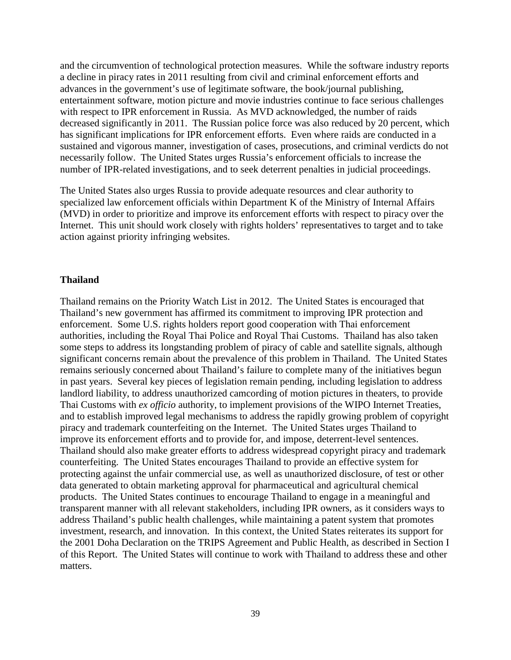and the circumvention of technological protection measures. While the software industry reports a decline in piracy rates in 2011 resulting from civil and criminal enforcement efforts and advances in the government's use of legitimate software, the book/journal publishing, entertainment software, motion picture and movie industries continue to face serious challenges with respect to IPR enforcement in Russia. As MVD acknowledged, the number of raids decreased significantly in 2011. The Russian police force was also reduced by 20 percent, which has significant implications for IPR enforcement efforts. Even where raids are conducted in a sustained and vigorous manner, investigation of cases, prosecutions, and criminal verdicts do not necessarily follow. The United States urges Russia's enforcement officials to increase the number of IPR-related investigations, and to seek deterrent penalties in judicial proceedings.

The United States also urges Russia to provide adequate resources and clear authority to specialized law enforcement officials within Department K of the Ministry of Internal Affairs (MVD) in order to prioritize and improve its enforcement efforts with respect to piracy over the Internet. This unit should work closely with rights holders' representatives to target and to take action against priority infringing websites.

## <span id="page-39-0"></span>**Thailand**

Thailand remains on the Priority Watch List in 2012. The United States is encouraged that Thailand's new government has affirmed its commitment to improving IPR protection and enforcement. Some U.S. rights holders report good cooperation with Thai enforcement authorities, including the Royal Thai Police and Royal Thai Customs. Thailand has also taken some steps to address its longstanding problem of piracy of cable and satellite signals, although significant concerns remain about the prevalence of this problem in Thailand. The United States remains seriously concerned about Thailand's failure to complete many of the initiatives begun in past years. Several key pieces of legislation remain pending, including legislation to address landlord liability, to address unauthorized camcording of motion pictures in theaters, to provide Thai Customs with *ex officio* authority, to implement provisions of the WIPO Internet Treaties, and to establish improved legal mechanisms to address the rapidly growing problem of copyright piracy and trademark counterfeiting on the Internet. The United States urges Thailand to improve its enforcement efforts and to provide for, and impose, deterrent-level sentences. Thailand should also make greater efforts to address widespread copyright piracy and trademark counterfeiting. The United States encourages Thailand to provide an effective system for protecting against the unfair commercial use, as well as unauthorized disclosure, of test or other data generated to obtain marketing approval for pharmaceutical and agricultural chemical products. The United States continues to encourage Thailand to engage in a meaningful and transparent manner with all relevant stakeholders, including IPR owners, as it considers ways to address Thailand's public health challenges, while maintaining a patent system that promotes investment, research, and innovation. In this context, the United States reiterates its support for the 2001 Doha Declaration on the TRIPS Agreement and Public Health, as described in Section I of this Report. The United States will continue to work with Thailand to address these and other matters.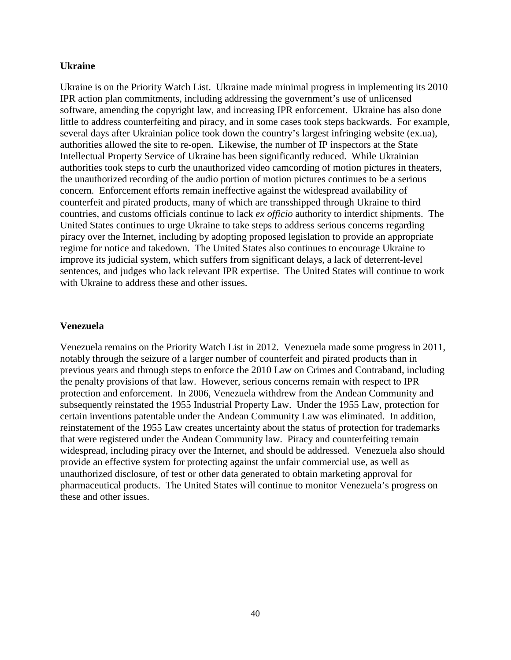## <span id="page-40-0"></span>**Ukraine**

Ukraine is on the Priority Watch List. Ukraine made minimal progress in implementing its 2010 IPR action plan commitments, including addressing the government's use of unlicensed software, amending the copyright law, and increasing IPR enforcement. Ukraine has also done little to address counterfeiting and piracy, and in some cases took steps backwards. For example, several days after Ukrainian police took down the country's largest infringing website (ex.ua), authorities allowed the site to re-open. Likewise, the number of IP inspectors at the State Intellectual Property Service of Ukraine has been significantly reduced. While Ukrainian authorities took steps to curb the unauthorized video camcording of motion pictures in theaters, the unauthorized recording of the audio portion of motion pictures continues to be a serious concern. Enforcement efforts remain ineffective against the widespread availability of counterfeit and pirated products, many of which are transshipped through Ukraine to third countries, and customs officials continue to lack *ex officio* authority to interdict shipments. The United States continues to urge Ukraine to take steps to address serious concerns regarding piracy over the Internet, including by adopting proposed legislation to provide an appropriate regime for notice and takedown. The United States also continues to encourage Ukraine to improve its judicial system, which suffers from significant delays, a lack of deterrent-level sentences, and judges who lack relevant IPR expertise. The United States will continue to work with Ukraine to address these and other issues.

#### <span id="page-40-1"></span>**Venezuela**

Venezuela remains on the Priority Watch List in 2012. Venezuela made some progress in 2011, notably through the seizure of a larger number of counterfeit and pirated products than in previous years and through steps to enforce the 2010 Law on Crimes and Contraband, including the penalty provisions of that law. However, serious concerns remain with respect to IPR protection and enforcement. In 2006, Venezuela withdrew from the Andean Community and subsequently reinstated the 1955 Industrial Property Law. Under the 1955 Law, protection for certain inventions patentable under the Andean Community Law was eliminated. In addition, reinstatement of the 1955 Law creates uncertainty about the status of protection for trademarks that were registered under the Andean Community law. Piracy and counterfeiting remain widespread, including piracy over the Internet, and should be addressed. Venezuela also should provide an effective system for protecting against the unfair commercial use, as well as unauthorized disclosure, of test or other data generated to obtain marketing approval for pharmaceutical products. The United States will continue to monitor Venezuela's progress on these and other issues.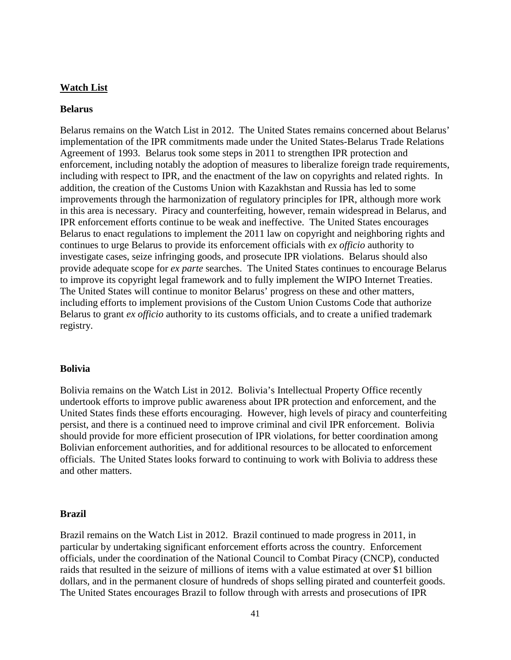## <span id="page-41-0"></span>**Watch List**

#### <span id="page-41-1"></span>**Belarus**

Belarus remains on the Watch List in 2012. The United States remains concerned about Belarus' implementation of the IPR commitments made under the United States-Belarus Trade Relations Agreement of 1993. Belarus took some steps in 2011 to strengthen IPR protection and enforcement, including notably the adoption of measures to liberalize foreign trade requirements, including with respect to IPR, and the enactment of the law on copyrights and related rights. In addition, the creation of the Customs Union with Kazakhstan and Russia has led to some improvements through the harmonization of regulatory principles for IPR, although more work in this area is necessary. Piracy and counterfeiting, however, remain widespread in Belarus, and IPR enforcement efforts continue to be weak and ineffective. The United States encourages Belarus to enact regulations to implement the 2011 law on copyright and neighboring rights and continues to urge Belarus to provide its enforcement officials with *ex officio* authority to investigate cases, seize infringing goods, and prosecute IPR violations. Belarus should also provide adequate scope for *ex parte* searches. The United States continues to encourage Belarus to improve its copyright legal framework and to fully implement the WIPO Internet Treaties. The United States will continue to monitor Belarus' progress on these and other matters, including efforts to implement provisions of the Custom Union Customs Code that authorize Belarus to grant *ex officio* authority to its customs officials, and to create a unified trademark registry.

#### <span id="page-41-2"></span>**Bolivia**

Bolivia remains on the Watch List in 2012. Bolivia's Intellectual Property Office recently undertook efforts to improve public awareness about IPR protection and enforcement, and the United States finds these efforts encouraging. However, high levels of piracy and counterfeiting persist, and there is a continued need to improve criminal and civil IPR enforcement. Bolivia should provide for more efficient prosecution of IPR violations, for better coordination among Bolivian enforcement authorities, and for additional resources to be allocated to enforcement officials. The United States looks forward to continuing to work with Bolivia to address these and other matters.

#### <span id="page-41-3"></span>**Brazil**

Brazil remains on the Watch List in 2012. Brazil continued to made progress in 2011, in particular by undertaking significant enforcement efforts across the country. Enforcement officials, under the coordination of the National Council to Combat Piracy (CNCP), conducted raids that resulted in the seizure of millions of items with a value estimated at over \$1 billion dollars, and in the permanent closure of hundreds of shops selling pirated and counterfeit goods. The United States encourages Brazil to follow through with arrests and prosecutions of IPR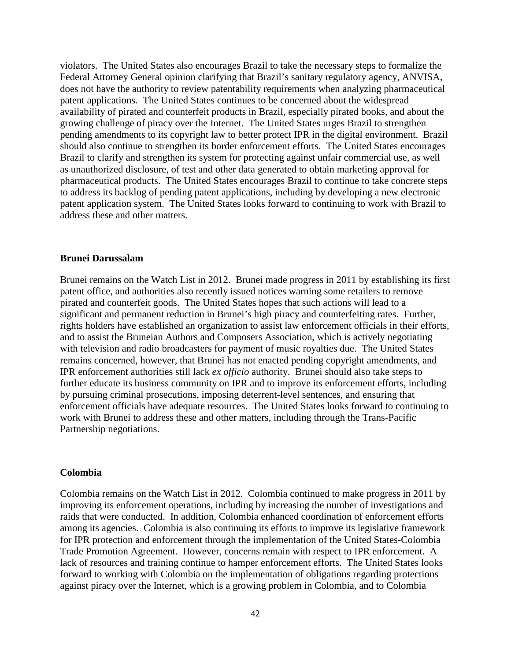violators. The United States also encourages Brazil to take the necessary steps to formalize the Federal Attorney General opinion clarifying that Brazil's sanitary regulatory agency, ANVISA, does not have the authority to review patentability requirements when analyzing pharmaceutical patent applications. The United States continues to be concerned about the widespread availability of pirated and counterfeit products in Brazil, especially pirated books, and about the growing challenge of piracy over the Internet. The United States urges Brazil to strengthen pending amendments to its copyright law to better protect IPR in the digital environment. Brazil should also continue to strengthen its border enforcement efforts. The United States encourages Brazil to clarify and strengthen its system for protecting against unfair commercial use, as well as unauthorized disclosure, of test and other data generated to obtain marketing approval for pharmaceutical products. The United States encourages Brazil to continue to take concrete steps to address its backlog of pending patent applications, including by developing a new electronic patent application system. The United States looks forward to continuing to work with Brazil to address these and other matters.

#### <span id="page-42-0"></span>**Brunei Darussalam**

Brunei remains on the Watch List in 2012. Brunei made progress in 2011 by establishing its first patent office, and authorities also recently issued notices warning some retailers to remove pirated and counterfeit goods. The United States hopes that such actions will lead to a significant and permanent reduction in Brunei's high piracy and counterfeiting rates. Further, rights holders have established an organization to assist law enforcement officials in their efforts, and to assist the Bruneian Authors and Composers Association, which is actively negotiating with television and radio broadcasters for payment of music royalties due. The United States remains concerned, however, that Brunei has not enacted pending copyright amendments, and IPR enforcement authorities still lack *ex officio* authority. Brunei should also take steps to further educate its business community on IPR and to improve its enforcement efforts, including by pursuing criminal prosecutions, imposing deterrent-level sentences, and ensuring that enforcement officials have adequate resources. The United States looks forward to continuing to work with Brunei to address these and other matters, including through the Trans-Pacific Partnership negotiations.

#### <span id="page-42-1"></span>**Colombia**

Colombia remains on the Watch List in 2012. Colombia continued to make progress in 2011 by improving its enforcement operations, including by increasing the number of investigations and raids that were conducted. In addition, Colombia enhanced coordination of enforcement efforts among its agencies. Colombia is also continuing its efforts to improve its legislative framework for IPR protection and enforcement through the implementation of the United States-Colombia Trade Promotion Agreement. However, concerns remain with respect to IPR enforcement. A lack of resources and training continue to hamper enforcement efforts. The United States looks forward to working with Colombia on the implementation of obligations regarding protections against piracy over the Internet, which is a growing problem in Colombia, and to Colombia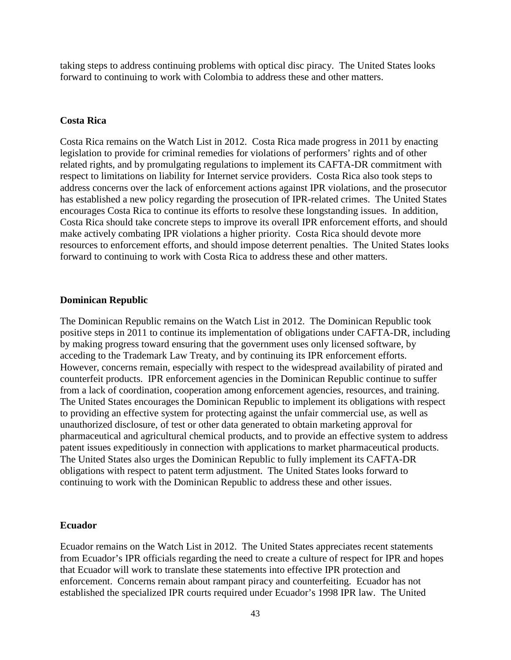taking steps to address continuing problems with optical disc piracy. The United States looks forward to continuing to work with Colombia to address these and other matters.

## <span id="page-43-0"></span>**Costa Rica**

Costa Rica remains on the Watch List in 2012. Costa Rica made progress in 2011 by enacting legislation to provide for criminal remedies for violations of performers' rights and of other related rights, and by promulgating regulations to implement its CAFTA-DR commitment with respect to limitations on liability for Internet service providers. Costa Rica also took steps to address concerns over the lack of enforcement actions against IPR violations, and the prosecutor has established a new policy regarding the prosecution of IPR-related crimes. The United States encourages Costa Rica to continue its efforts to resolve these longstanding issues. In addition, Costa Rica should take concrete steps to improve its overall IPR enforcement efforts, and should make actively combating IPR violations a higher priority. Costa Rica should devote more resources to enforcement efforts, and should impose deterrent penalties. The United States looks forward to continuing to work with Costa Rica to address these and other matters.

## <span id="page-43-1"></span>**Dominican Republic**

The Dominican Republic remains on the Watch List in 2012. The Dominican Republic took positive steps in 2011 to continue its implementation of obligations under CAFTA-DR, including by making progress toward ensuring that the government uses only licensed software, by acceding to the Trademark Law Treaty, and by continuing its IPR enforcement efforts. However, concerns remain, especially with respect to the widespread availability of pirated and counterfeit products. IPR enforcement agencies in the Dominican Republic continue to suffer from a lack of coordination, cooperation among enforcement agencies, resources, and training. The United States encourages the Dominican Republic to implement its obligations with respect to providing an effective system for protecting against the unfair commercial use, as well as unauthorized disclosure, of test or other data generated to obtain marketing approval for pharmaceutical and agricultural chemical products, and to provide an effective system to address patent issues expeditiously in connection with applications to market pharmaceutical products. The United States also urges the Dominican Republic to fully implement its CAFTA-DR obligations with respect to patent term adjustment. The United States looks forward to continuing to work with the Dominican Republic to address these and other issues.

# <span id="page-43-2"></span>**Ecuador**

Ecuador remains on the Watch List in 2012. The United States appreciates recent statements from Ecuador's IPR officials regarding the need to create a culture of respect for IPR and hopes that Ecuador will work to translate these statements into effective IPR protection and enforcement. Concerns remain about rampant piracy and counterfeiting. Ecuador has not established the specialized IPR courts required under Ecuador's 1998 IPR law. The United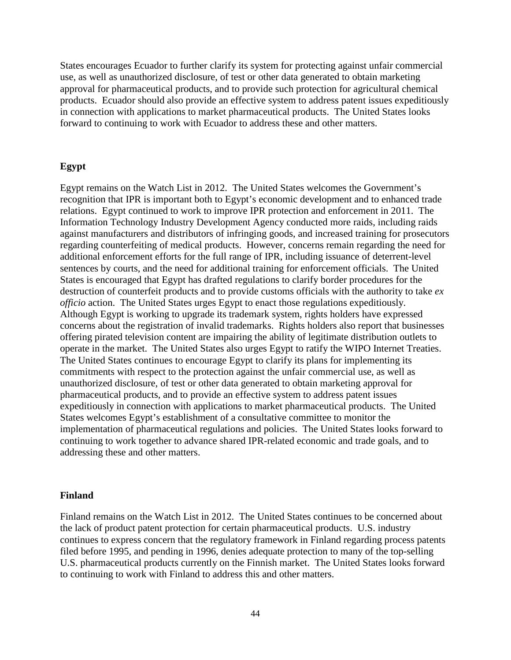States encourages Ecuador to further clarify its system for protecting against unfair commercial use, as well as unauthorized disclosure, of test or other data generated to obtain marketing approval for pharmaceutical products, and to provide such protection for agricultural chemical products. Ecuador should also provide an effective system to address patent issues expeditiously in connection with applications to market pharmaceutical products. The United States looks forward to continuing to work with Ecuador to address these and other matters.

## <span id="page-44-0"></span>**Egypt**

Egypt remains on the Watch List in 2012. The United States welcomes the Government's recognition that IPR is important both to Egypt's economic development and to enhanced trade relations. Egypt continued to work to improve IPR protection and enforcement in 2011. The Information Technology Industry Development Agency conducted more raids, including raids against manufacturers and distributors of infringing goods, and increased training for prosecutors regarding counterfeiting of medical products. However, concerns remain regarding the need for additional enforcement efforts for the full range of IPR, including issuance of deterrent-level sentences by courts, and the need for additional training for enforcement officials. The United States is encouraged that Egypt has drafted regulations to clarify border procedures for the destruction of counterfeit products and to provide customs officials with the authority to take *ex officio* action. The United States urges Egypt to enact those regulations expeditiously. Although Egypt is working to upgrade its trademark system, rights holders have expressed concerns about the registration of invalid trademarks. Rights holders also report that businesses offering pirated television content are impairing the ability of legitimate distribution outlets to operate in the market. The United States also urges Egypt to ratify the WIPO Internet Treaties. The United States continues to encourage Egypt to clarify its plans for implementing its commitments with respect to the protection against the unfair commercial use, as well as unauthorized disclosure, of test or other data generated to obtain marketing approval for pharmaceutical products, and to provide an effective system to address patent issues expeditiously in connection with applications to market pharmaceutical products. The United States welcomes Egypt's establishment of a consultative committee to monitor the implementation of pharmaceutical regulations and policies. The United States looks forward to continuing to work together to advance shared IPR-related economic and trade goals, and to addressing these and other matters.

#### <span id="page-44-1"></span>**Finland**

Finland remains on the Watch List in 2012. The United States continues to be concerned about the lack of product patent protection for certain pharmaceutical products. U.S. industry continues to express concern that the regulatory framework in Finland regarding process patents filed before 1995, and pending in 1996, denies adequate protection to many of the top-selling U.S. pharmaceutical products currently on the Finnish market. The United States looks forward to continuing to work with Finland to address this and other matters.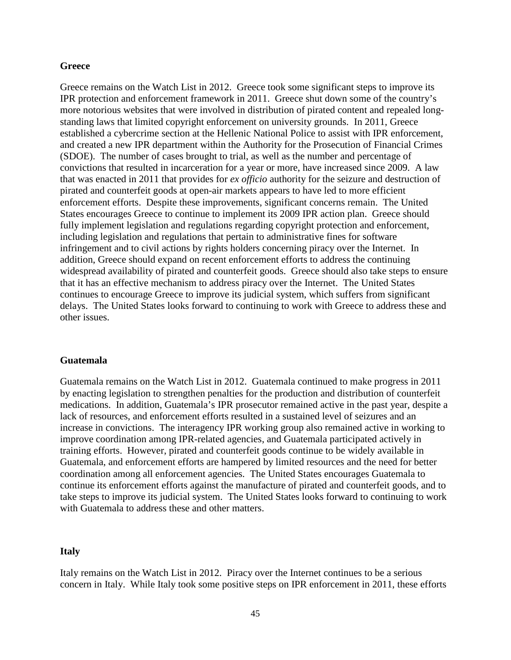#### <span id="page-45-0"></span>**Greece**

Greece remains on the Watch List in 2012. Greece took some significant steps to improve its IPR protection and enforcement framework in 2011. Greece shut down some of the country's more notorious websites that were involved in distribution of pirated content and repealed longstanding laws that limited copyright enforcement on university grounds. In 2011, Greece established a cybercrime section at the Hellenic National Police to assist with IPR enforcement, and created a new IPR department within the Authority for the Prosecution of Financial Crimes (SDOE). The number of cases brought to trial, as well as the number and percentage of convictions that resulted in incarceration for a year or more, have increased since 2009. A law that was enacted in 2011 that provides for *ex officio* authority for the seizure and destruction of pirated and counterfeit goods at open-air markets appears to have led to more efficient enforcement efforts. Despite these improvements, significant concerns remain. The United States encourages Greece to continue to implement its 2009 IPR action plan. Greece should fully implement legislation and regulations regarding copyright protection and enforcement, including legislation and regulations that pertain to administrative fines for software infringement and to civil actions by rights holders concerning piracy over the Internet. In addition, Greece should expand on recent enforcement efforts to address the continuing widespread availability of pirated and counterfeit goods. Greece should also take steps to ensure that it has an effective mechanism to address piracy over the Internet. The United States continues to encourage Greece to improve its judicial system, which suffers from significant delays. The United States looks forward to continuing to work with Greece to address these and other issues.

#### <span id="page-45-1"></span>**Guatemala**

Guatemala remains on the Watch List in 2012. Guatemala continued to make progress in 2011 by enacting legislation to strengthen penalties for the production and distribution of counterfeit medications. In addition, Guatemala's IPR prosecutor remained active in the past year, despite a lack of resources, and enforcement efforts resulted in a sustained level of seizures and an increase in convictions. The interagency IPR working group also remained active in working to improve coordination among IPR-related agencies, and Guatemala participated actively in training efforts. However, pirated and counterfeit goods continue to be widely available in Guatemala, and enforcement efforts are hampered by limited resources and the need for better coordination among all enforcement agencies. The United States encourages Guatemala to continue its enforcement efforts against the manufacture of pirated and counterfeit goods, and to take steps to improve its judicial system. The United States looks forward to continuing to work with Guatemala to address these and other matters.

#### <span id="page-45-2"></span>**Italy**

Italy remains on the Watch List in 2012. Piracy over the Internet continues to be a serious concern in Italy. While Italy took some positive steps on IPR enforcement in 2011, these efforts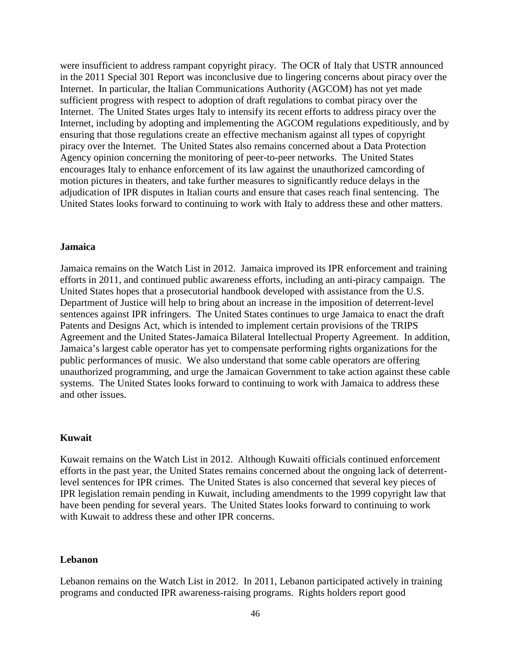were insufficient to address rampant copyright piracy. The OCR of Italy that USTR announced in the 2011 Special 301 Report was inconclusive due to lingering concerns about piracy over the Internet. In particular, the Italian Communications Authority (AGCOM) has not yet made sufficient progress with respect to adoption of draft regulations to combat piracy over the Internet. The United States urges Italy to intensify its recent efforts to address piracy over the Internet, including by adopting and implementing the AGCOM regulations expeditiously, and by ensuring that those regulations create an effective mechanism against all types of copyright piracy over the Internet. The United States also remains concerned about a Data Protection Agency opinion concerning the monitoring of peer-to-peer networks. The United States encourages Italy to enhance enforcement of its law against the unauthorized camcording of motion pictures in theaters, and take further measures to significantly reduce delays in the adjudication of IPR disputes in Italian courts and ensure that cases reach final sentencing. The United States looks forward to continuing to work with Italy to address these and other matters.

#### <span id="page-46-0"></span>**Jamaica**

Jamaica remains on the Watch List in 2012. Jamaica improved its IPR enforcement and training efforts in 2011, and continued public awareness efforts, including an anti-piracy campaign. The United States hopes that a prosecutorial handbook developed with assistance from the U.S. Department of Justice will help to bring about an increase in the imposition of deterrent-level sentences against IPR infringers. The United States continues to urge Jamaica to enact the draft Patents and Designs Act, which is intended to implement certain provisions of the TRIPS Agreement and the United States-Jamaica Bilateral Intellectual Property Agreement. In addition, Jamaica's largest cable operator has yet to compensate performing rights organizations for the public performances of music. We also understand that some cable operators are offering unauthorized programming, and urge the Jamaican Government to take action against these cable systems. The United States looks forward to continuing to work with Jamaica to address these and other issues.

#### <span id="page-46-1"></span>**Kuwait**

Kuwait remains on the Watch List in 2012. Although Kuwaiti officials continued enforcement efforts in the past year, the United States remains concerned about the ongoing lack of deterrentlevel sentences for IPR crimes. The United States is also concerned that several key pieces of IPR legislation remain pending in Kuwait, including amendments to the 1999 copyright law that have been pending for several years. The United States looks forward to continuing to work with Kuwait to address these and other IPR concerns.

#### <span id="page-46-2"></span>**Lebanon**

Lebanon remains on the Watch List in 2012. In 2011, Lebanon participated actively in training programs and conducted IPR awareness-raising programs. Rights holders report good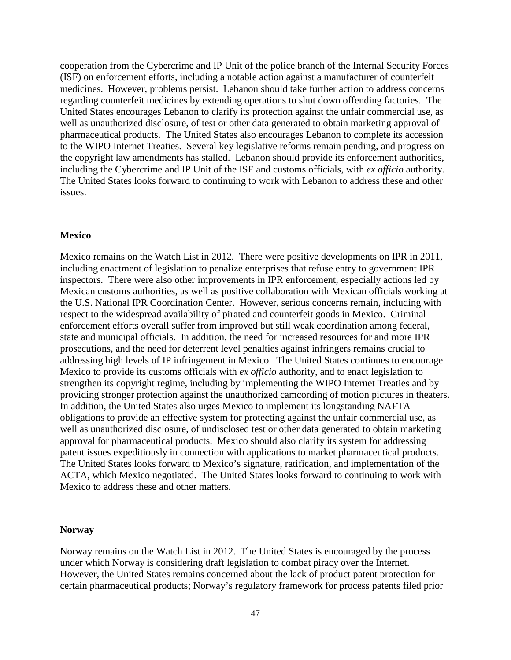cooperation from the Cybercrime and IP Unit of the police branch of the Internal Security Forces (ISF) on enforcement efforts, including a notable action against a manufacturer of counterfeit medicines. However, problems persist. Lebanon should take further action to address concerns regarding counterfeit medicines by extending operations to shut down offending factories. The United States encourages Lebanon to clarify its protection against the unfair commercial use, as well as unauthorized disclosure, of test or other data generated to obtain marketing approval of pharmaceutical products. The United States also encourages Lebanon to complete its accession to the WIPO Internet Treaties. Several key legislative reforms remain pending, and progress on the copyright law amendments has stalled. Lebanon should provide its enforcement authorities, including the Cybercrime and IP Unit of the ISF and customs officials, with *ex officio* authority. The United States looks forward to continuing to work with Lebanon to address these and other issues.

#### <span id="page-47-0"></span>**Mexico**

Mexico remains on the Watch List in 2012. There were positive developments on IPR in 2011, including enactment of legislation to penalize enterprises that refuse entry to government IPR inspectors. There were also other improvements in IPR enforcement, especially actions led by Mexican customs authorities, as well as positive collaboration with Mexican officials working at the U.S. National IPR Coordination Center. However, serious concerns remain, including with respect to the widespread availability of pirated and counterfeit goods in Mexico. Criminal enforcement efforts overall suffer from improved but still weak coordination among federal, state and municipal officials. In addition, the need for increased resources for and more IPR prosecutions, and the need for deterrent level penalties against infringers remains crucial to addressing high levels of IP infringement in Mexico. The United States continues to encourage Mexico to provide its customs officials with *ex officio* authority, and to enact legislation to strengthen its copyright regime, including by implementing the WIPO Internet Treaties and by providing stronger protection against the unauthorized camcording of motion pictures in theaters. In addition, the United States also urges Mexico to implement its longstanding NAFTA obligations to provide an effective system for protecting against the unfair commercial use, as well as unauthorized disclosure, of undisclosed test or other data generated to obtain marketing approval for pharmaceutical products. Mexico should also clarify its system for addressing patent issues expeditiously in connection with applications to market pharmaceutical products. The United States looks forward to Mexico's signature, ratification, and implementation of the ACTA, which Mexico negotiated. The United States looks forward to continuing to work with Mexico to address these and other matters.

#### <span id="page-47-1"></span>**Norway**

Norway remains on the Watch List in 2012. The United States is encouraged by the process under which Norway is considering draft legislation to combat piracy over the Internet. However, the United States remains concerned about the lack of product patent protection for certain pharmaceutical products; Norway's regulatory framework for process patents filed prior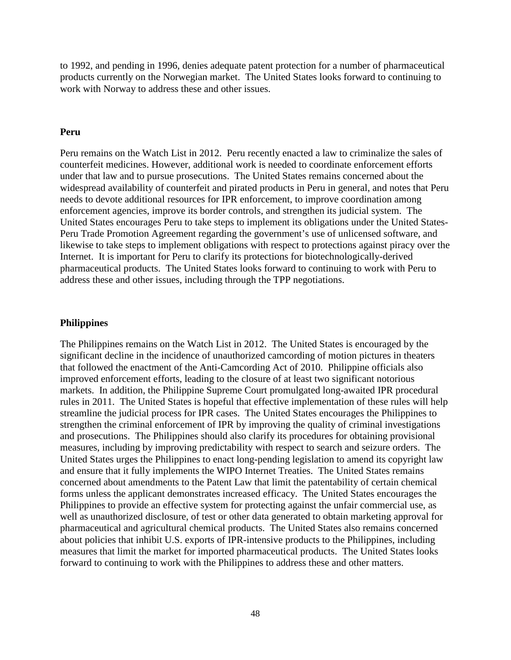to 1992, and pending in 1996, denies adequate patent protection for a number of pharmaceutical products currently on the Norwegian market. The United States looks forward to continuing to work with Norway to address these and other issues.

#### <span id="page-48-0"></span>**Peru**

Peru remains on the Watch List in 2012. Peru recently enacted a law to criminalize the sales of counterfeit medicines. However, additional work is needed to coordinate enforcement efforts under that law and to pursue prosecutions. The United States remains concerned about the widespread availability of counterfeit and pirated products in Peru in general, and notes that Peru needs to devote additional resources for IPR enforcement, to improve coordination among enforcement agencies, improve its border controls, and strengthen its judicial system. The United States encourages Peru to take steps to implement its obligations under the United States-Peru Trade Promotion Agreement regarding the government's use of unlicensed software, and likewise to take steps to implement obligations with respect to protections against piracy over the Internet. It is important for Peru to clarify its protections for biotechnologically-derived pharmaceutical products. The United States looks forward to continuing to work with Peru to address these and other issues, including through the TPP negotiations.

#### <span id="page-48-1"></span>**Philippines**

The Philippines remains on the Watch List in 2012. The United States is encouraged by the significant decline in the incidence of unauthorized camcording of motion pictures in theaters that followed the enactment of the Anti-Camcording Act of 2010. Philippine officials also improved enforcement efforts, leading to the closure of at least two significant notorious markets. In addition, the Philippine Supreme Court promulgated long-awaited IPR procedural rules in 2011. The United States is hopeful that effective implementation of these rules will help streamline the judicial process for IPR cases. The United States encourages the Philippines to strengthen the criminal enforcement of IPR by improving the quality of criminal investigations and prosecutions. The Philippines should also clarify its procedures for obtaining provisional measures, including by improving predictability with respect to search and seizure orders. The United States urges the Philippines to enact long-pending legislation to amend its copyright law and ensure that it fully implements the WIPO Internet Treaties. The United States remains concerned about amendments to the Patent Law that limit the patentability of certain chemical forms unless the applicant demonstrates increased efficacy. The United States encourages the Philippines to provide an effective system for protecting against the unfair commercial use, as well as unauthorized disclosure, of test or other data generated to obtain marketing approval for pharmaceutical and agricultural chemical products. The United States also remains concerned about policies that inhibit U.S. exports of IPR-intensive products to the Philippines, including measures that limit the market for imported pharmaceutical products. The United States looks forward to continuing to work with the Philippines to address these and other matters.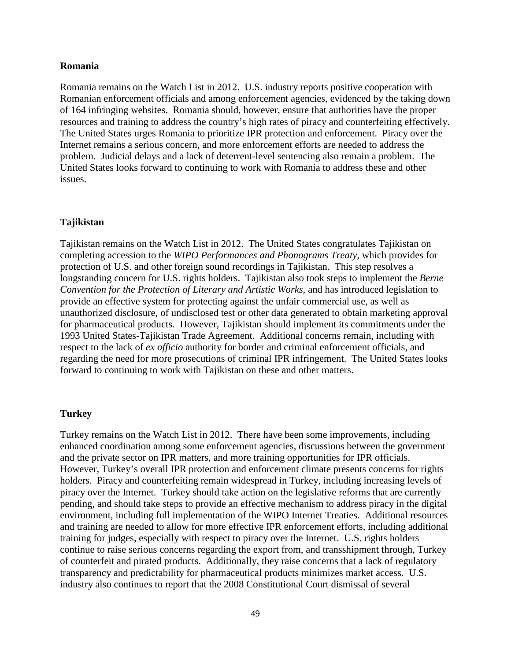#### <span id="page-49-0"></span>**Romania**

Romania remains on the Watch List in 2012. U.S. industry reports positive cooperation with Romanian enforcement officials and among enforcement agencies, evidenced by the taking down of 164 infringing websites. Romania should, however, ensure that authorities have the proper resources and training to address the country's high rates of piracy and counterfeiting effectively. The United States urges Romania to prioritize IPR protection and enforcement. Piracy over the Internet remains a serious concern, and more enforcement efforts are needed to address the problem. Judicial delays and a lack of deterrent-level sentencing also remain a problem. The United States looks forward to continuing to work with Romania to address these and other issues.

## <span id="page-49-1"></span>**Tajikistan**

Tajikistan remains on the Watch List in 2012. The United States congratulates Tajikistan on completing accession to the *WIPO Performances and Phonograms Treaty*, which provides for protection of U.S. and other foreign sound recordings in Tajikistan. This step resolves a longstanding concern for U.S. rights holders. Tajikistan also took steps to implement the *Berne Convention for the Protection of Literary and Artistic Works*, and has introduced legislation to provide an effective system for protecting against the unfair commercial use, as well as unauthorized disclosure, of undisclosed test or other data generated to obtain marketing approval for pharmaceutical products. However, Tajikistan should implement its commitments under the 1993 United States-Tajikistan Trade Agreement. Additional concerns remain, including with respect to the lack of *ex officio* authority for border and criminal enforcement officials, and regarding the need for more prosecutions of criminal IPR infringement. The United States looks forward to continuing to work with Tajikistan on these and other matters.

#### <span id="page-49-2"></span>**Turkey**

Turkey remains on the Watch List in 2012. There have been some improvements, including enhanced coordination among some enforcement agencies, discussions between the government and the private sector on IPR matters, and more training opportunities for IPR officials. However, Turkey's overall IPR protection and enforcement climate presents concerns for rights holders. Piracy and counterfeiting remain widespread in Turkey, including increasing levels of piracy over the Internet. Turkey should take action on the legislative reforms that are currently pending, and should take steps to provide an effective mechanism to address piracy in the digital environment, including full implementation of the WIPO Internet Treaties. Additional resources and training are needed to allow for more effective IPR enforcement efforts, including additional training for judges, especially with respect to piracy over the Internet. U.S. rights holders continue to raise serious concerns regarding the export from, and transshipment through, Turkey of counterfeit and pirated products. Additionally, they raise concerns that a lack of regulatory transparency and predictability for pharmaceutical products minimizes market access. U.S. industry also continues to report that the 2008 Constitutional Court dismissal of several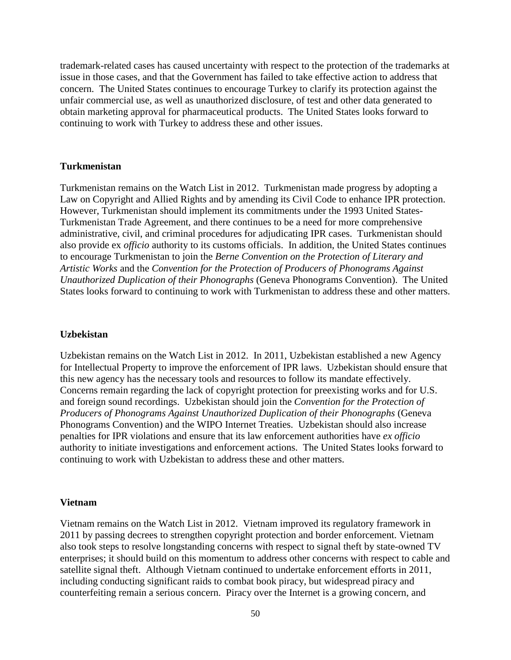trademark-related cases has caused uncertainty with respect to the protection of the trademarks at issue in those cases, and that the Government has failed to take effective action to address that concern. The United States continues to encourage Turkey to clarify its protection against the unfair commercial use, as well as unauthorized disclosure, of test and other data generated to obtain marketing approval for pharmaceutical products. The United States looks forward to continuing to work with Turkey to address these and other issues.

#### <span id="page-50-0"></span>**Turkmenistan**

Turkmenistan remains on the Watch List in 2012. Turkmenistan made progress by adopting a Law on Copyright and Allied Rights and by amending its Civil Code to enhance IPR protection. However, Turkmenistan should implement its commitments under the 1993 United States-Turkmenistan Trade Agreement, and there continues to be a need for more comprehensive administrative, civil, and criminal procedures for adjudicating IPR cases. Turkmenistan should also provide ex *officio* authority to its customs officials. In addition, the United States continues to encourage Turkmenistan to join the *Berne Convention on the Protection of Literary and Artistic Works* and the *Convention for the Protection of Producers of Phonograms Against Unauthorized Duplication of their Phonographs* (Geneva Phonograms Convention). The United States looks forward to continuing to work with Turkmenistan to address these and other matters.

#### <span id="page-50-1"></span>**Uzbekistan**

Uzbekistan remains on the Watch List in 2012. In 2011, Uzbekistan established a new Agency for Intellectual Property to improve the enforcement of IPR laws. Uzbekistan should ensure that this new agency has the necessary tools and resources to follow its mandate effectively. Concerns remain regarding the lack of copyright protection for preexisting works and for U.S. and foreign sound recordings. Uzbekistan should join the *Convention for the Protection of Producers of Phonograms Against Unauthorized Duplication of their Phonographs* (Geneva Phonograms Convention) and the WIPO Internet Treaties. Uzbekistan should also increase penalties for IPR violations and ensure that its law enforcement authorities have *ex officio* authority to initiate investigations and enforcement actions. The United States looks forward to continuing to work with Uzbekistan to address these and other matters.

#### <span id="page-50-2"></span>**Vietnam**

Vietnam remains on the Watch List in 2012. Vietnam improved its regulatory framework in 2011 by passing decrees to strengthen copyright protection and border enforcement. Vietnam also took steps to resolve longstanding concerns with respect to signal theft by state-owned TV enterprises; it should build on this momentum to address other concerns with respect to cable and satellite signal theft. Although Vietnam continued to undertake enforcement efforts in 2011, including conducting significant raids to combat book piracy, but widespread piracy and counterfeiting remain a serious concern. Piracy over the Internet is a growing concern, and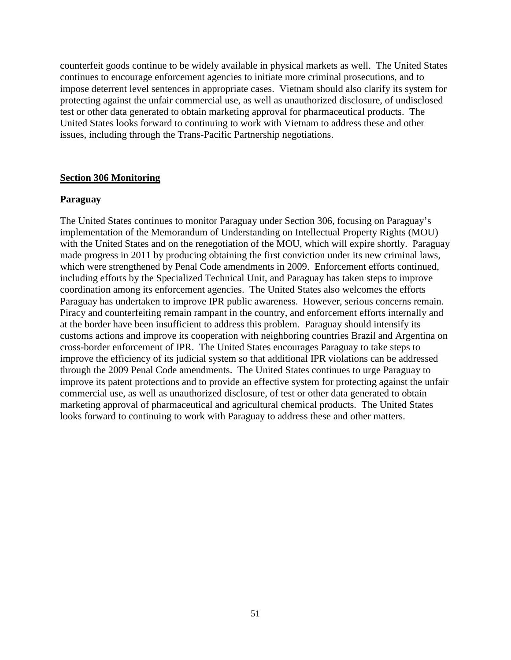counterfeit goods continue to be widely available in physical markets as well. The United States continues to encourage enforcement agencies to initiate more criminal prosecutions, and to impose deterrent level sentences in appropriate cases. Vietnam should also clarify its system for protecting against the unfair commercial use, as well as unauthorized disclosure, of undisclosed test or other data generated to obtain marketing approval for pharmaceutical products. The United States looks forward to continuing to work with Vietnam to address these and other issues, including through the Trans-Pacific Partnership negotiations.

#### <span id="page-51-0"></span>**Section 306 Monitoring**

#### <span id="page-51-1"></span>**Paraguay**

<span id="page-51-2"></span>The United States continues to monitor Paraguay under Section 306, focusing on Paraguay's implementation of the Memorandum of Understanding on Intellectual Property Rights (MOU) with the United States and on the renegotiation of the MOU, which will expire shortly. Paraguay made progress in 2011 by producing obtaining the first conviction under its new criminal laws, which were strengthened by Penal Code amendments in 2009. Enforcement efforts continued, including efforts by the Specialized Technical Unit, and Paraguay has taken steps to improve coordination among its enforcement agencies. The United States also welcomes the efforts Paraguay has undertaken to improve IPR public awareness. However, serious concerns remain. Piracy and counterfeiting remain rampant in the country, and enforcement efforts internally and at the border have been insufficient to address this problem. Paraguay should intensify its customs actions and improve its cooperation with neighboring countries Brazil and Argentina on cross-border enforcement of IPR. The United States encourages Paraguay to take steps to improve the efficiency of its judicial system so that additional IPR violations can be addressed through the 2009 Penal Code amendments. The United States continues to urge Paraguay to improve its patent protections and to provide an effective system for protecting against the unfair commercial use, as well as unauthorized disclosure, of test or other data generated to obtain marketing approval of pharmaceutical and agricultural chemical products. The United States looks forward to continuing to work with Paraguay to address these and other matters.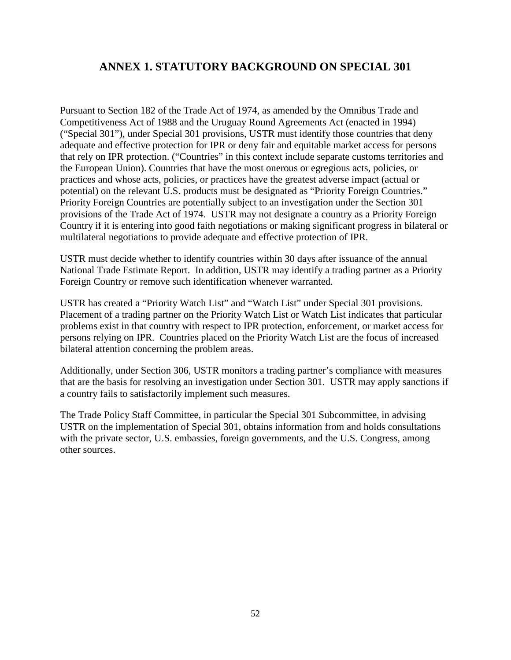# **ANNEX 1. STATUTORY BACKGROUND ON SPECIAL 301**

Pursuant to Section 182 of the Trade Act of 1974, as amended by the Omnibus Trade and Competitiveness Act of 1988 and the Uruguay Round Agreements Act (enacted in 1994) ("Special 301"), under Special 301 provisions, USTR must identify those countries that deny adequate and effective protection for IPR or deny fair and equitable market access for persons that rely on IPR protection. ("Countries" in this context include separate customs territories and the European Union). Countries that have the most onerous or egregious acts, policies, or practices and whose acts, policies, or practices have the greatest adverse impact (actual or potential) on the relevant U.S. products must be designated as "Priority Foreign Countries." Priority Foreign Countries are potentially subject to an investigation under the Section 301 provisions of the Trade Act of 1974. USTR may not designate a country as a Priority Foreign Country if it is entering into good faith negotiations or making significant progress in bilateral or multilateral negotiations to provide adequate and effective protection of IPR.

USTR must decide whether to identify countries within 30 days after issuance of the annual National Trade Estimate Report. In addition, USTR may identify a trading partner as a Priority Foreign Country or remove such identification whenever warranted.

USTR has created a "Priority Watch List" and "Watch List" under Special 301 provisions. Placement of a trading partner on the Priority Watch List or Watch List indicates that particular problems exist in that country with respect to IPR protection, enforcement, or market access for persons relying on IPR. Countries placed on the Priority Watch List are the focus of increased bilateral attention concerning the problem areas.

Additionally, under Section 306, USTR monitors a trading partner's compliance with measures that are the basis for resolving an investigation under Section 301. USTR may apply sanctions if a country fails to satisfactorily implement such measures.

<span id="page-52-0"></span>The Trade Policy Staff Committee, in particular the Special 301 Subcommittee, in advising USTR on the implementation of Special 301, obtains information from and holds consultations with the private sector, U.S. embassies, foreign governments, and the U.S. Congress, among other sources.